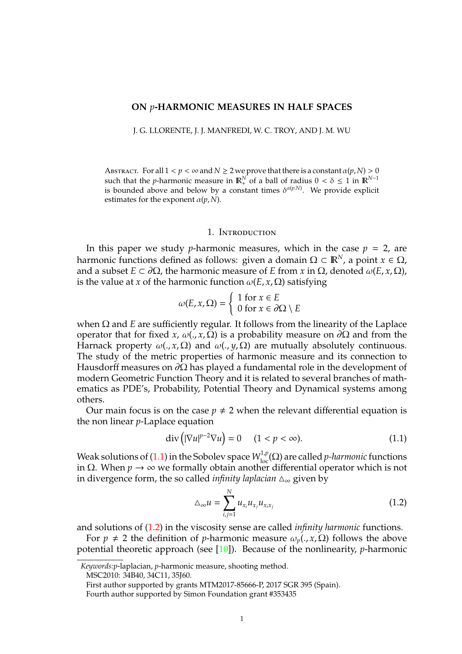### **ON** *p***-HARMONIC MEASURES IN HALF SPACES**

J. G. LLORENTE, J. J. MANFREDI, W. C. TROY, AND J. M. WU

ABSTRACT. For all  $1 < p < \infty$  and  $N \geq 2$  we prove that there is a constant  $\alpha(p, N) > 0$ such that the *p*-harmonic measure in  $\mathbb{R}^N_+$  of a ball of radius  $0 < \delta \le 1$  in  $\mathbb{R}^{N-1}$ is bounded above and below by a constant times  $\delta^{\alpha(p,N)}$ . We provide explicit estimates for the exponent  $\alpha(p, N)$ .

#### 1. INTRODUCTION

In this paper we study *p*-harmonic measures, which in the case  $p = 2$ , are harmonic functions defined as follows: given a domain  $\Omega \subset \mathbb{R}^N$ , a point  $x \in \Omega$ , and a subset  $E \subset \partial \Omega$ , the harmonic measure of *E* from *x* in  $\Omega$ , denoted  $\omega(E, x, \Omega)$ , is the value at *x* of the harmonic function  $\omega(E, x, \Omega)$  satisfying

$$
\omega(E, x, \Omega) = \begin{cases} 1 \text{ for } x \in E \\ 0 \text{ for } x \in \partial\Omega \setminus E \end{cases}
$$

when Ω and *E* are sufficiently regular. It follows from the linearity of the Laplace operator that for fixed *x*,  $ω(., x, Ω)$  is a probability measure on  $\partial Ω$  and from the Harnack property  $\omega(., x, \Omega)$  and  $\omega(., y, \Omega)$  are mutually absolutely continuous. The study of the metric properties of harmonic measure and its connection to Hausdorff measures on  $\partial\Omega$  has played a fundamental role in the development of modern Geometric Function Theory and it is related to several branches of mathematics as PDE's, Probability, Potential Theory and Dynamical systems among others.

Our main focus is on the case  $p \neq 2$  when the relevant differential equation is the non linear *p*-Laplace equation

<span id="page-0-0"></span>
$$
\operatorname{div}\left(|\nabla u|^{p-2}\nabla u\right) = 0 \quad (1 < p < \infty). \tag{1.1}
$$

Weak solutions of [\(1.1\)](#page-0-0) in the Sobolev space  $W^{1,p}_{loc}(\Omega)$  are called *p-harmonic* functions in Ω. When *p* → ∞ we formally obtain another differential operator which is not in divergence form, the so called *infinity laplacian* ∆<sub>∞</sub> given by

<span id="page-0-1"></span>
$$
\Delta_{\infty} u = \sum_{i,j=1}^{N} u_{x_i} u_{x_j} u_{x_ix_j} \tag{1.2}
$$

and solutions of [\(1.2\)](#page-0-1) in the viscosity sense are called *infinity harmonic* functions.

For  $p \neq 2$  the definition of *p*-harmonic measure  $\omega_p(., x, \Omega)$  follows the above potential theoretic approach (see [\[10\]](#page-23-0)). Because of the nonlinearity, *p*-harmonic

MSC2010: 34B40, 34C11, 35J60.

*Keywords:p*-laplacian, *p*-harmonic measure, shooting method.

First author supported by grants MTM2017-85666-P, 2017 SGR 395 (Spain).

Fourth author supported by Simon Foundation grant #353435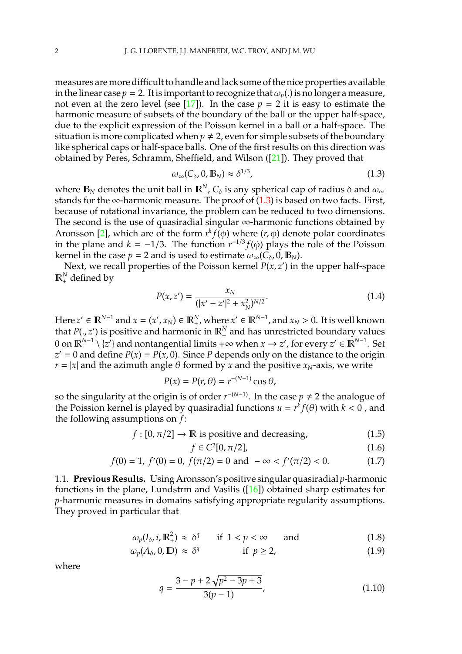measures are more difficult to handle and lack some of the nice properties available in the linear case  $p = 2$ . It is important to recognize that  $\omega_p(.)$  is no longer a measure, not even at the zero level (see  $[17]$ ). In the case  $p = 2$  it is easy to estimate the harmonic measure of subsets of the boundary of the ball or the upper half-space, due to the explicit expression of the Poisson kernel in a ball or a half-space. The situation is more complicated when  $p \neq 2$ , even for simple subsets of the boundary like spherical caps or half-space balls. One of the first results on this direction was obtained by Peres, Schramm, Sheffield, and Wilson ([\[21\]](#page-23-2)). They proved that

<span id="page-1-0"></span>
$$
\omega_{\infty}(C_{\delta}, 0, \mathbb{B}_N) \approx \delta^{1/3}, \qquad (1.3)
$$

where  $\mathbb{B}_N$  denotes the unit ball in  $\mathbb{R}^N$ ,  $C_\delta$  is any spherical cap of radius  $\delta$  and  $\omega_\infty$ stands for the ∞-harmonic measure. The proof of  $(1.3)$  is based on two facts. First, because of rotational invariance, the problem can be reduced to two dimensions. The second is the use of quasiradial singular ∞-harmonic functions obtained by Aronsson [\[2\]](#page-22-0), which are of the form  $r^k f(\phi)$  where  $(r, \phi)$  denote polar coordinates in the plane and  $k = −1/3$ . The function  $r^{-1/3} f(\phi)$  plays the role of the Poisson kernel in the case  $p = 2$  and is used to estimate  $\omega_{\infty}(C_{\delta}, 0, \mathbb{B}_{N})$ .

Next, we recall properties of the Poisson kernel  $P(x, z')$  in the upper half-space  $\mathbb{R}^N_+$  defined by

$$
P(x, z') = \frac{x_N}{(|x' - z'|^2 + x_N^2)^{N/2}}.
$$
\n(1.4)

Here  $z' \in \mathbb{R}^{N-1}$  and  $x = (x', x_N) \in \mathbb{R}^N_+$ , where  $x' \in \mathbb{R}^{N-1}$ , and  $x_N > 0$ . It is well known that  $P(., z')$  is positive and harmonic in  $\mathbb{R}^N_+$  and has unrestricted boundary values 0 on  $\mathbb{R}^{N-1} \setminus \{z'\}$  and nontangential limits +∞ when *x* → *z'*, for every *z'* ∈  $\mathbb{R}^{N-1}$ . Set  $z' = 0$  and define  $P(x) = P(x, 0)$ . Since *P* depends only on the distance to the origin  $r = |x|$  and the azimuth angle  $\theta$  formed by *x* and the positive  $x_N$ -axis, we write

$$
P(x) = P(r, \theta) = r^{-(N-1)} \cos \theta,
$$

so the singularity at the origin is of order  $r^{-(N-1)}$ . In the case  $p \neq 2$  the analogue of the Poission kernel is played by quasiradial functions  $u = r^k f(\theta)$  with  $k < 0$  , and the following assumptions on *f*:

<span id="page-1-1"></span>
$$
f: [0, \pi/2] \to \mathbb{R}
$$
 is positive and decreasing, (1.5)

$$
f \in C^2[0, \pi/2], \tag{1.6}
$$

$$
f(0) = 1, f'(0) = 0, f(\pi/2) = 0 \text{ and } -\infty < f'(\pi/2) < 0. \tag{1.7}
$$

1.1. **Previous Results.** Using Aronsson's positive singular quasiradial *p*-harmonic functions in the plane, Lundstrm and Vasilis  $([16])$  $([16])$  $([16])$  obtained sharp estimates for *p*-harmonic measures in domains satisfying appropriate regularity assumptions. They proved in particular that

$$
\omega_p(I_\delta, i, \mathbb{R}^2_+) \approx \delta^q \qquad \text{if } 1 < p < \infty \qquad \text{and} \tag{1.8}
$$

$$
\omega_p(A_\delta, 0, \mathbb{D}) \approx \delta^q \qquad \qquad \text{if } p \ge 2,
$$
 (1.9)

where

$$
q = \frac{3 - p + 2\sqrt{p^2 - 3p + 3}}{3(p - 1)},
$$
\n(1.10)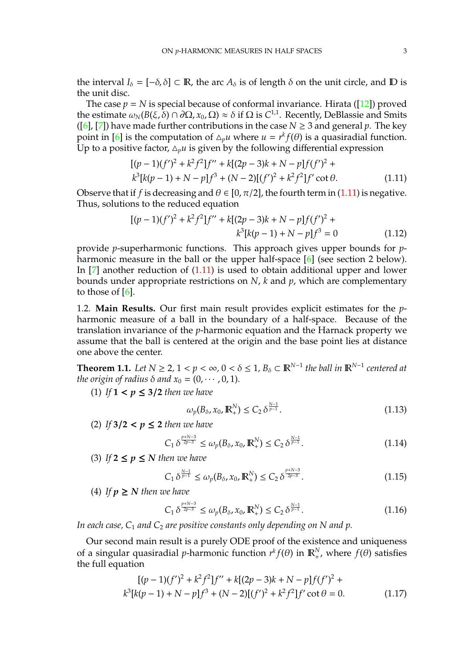the interval  $I_{\delta} = [-\delta, \delta] \subset \mathbb{R}$ , the arc  $A_{\delta}$  is of length  $\delta$  on the unit circle, and  $\mathbb{D}$  is the unit disc.

The case  $p = N$  is special because of conformal invariance. Hirata ([\[12\]](#page-23-4)) proved the estimate  $\omega_N(B(\xi, \delta) \cap \partial\Omega, x_0, \Omega) \approx \delta$  if  $\Omega$  is  $C^{1,1}$ . Recently, DeBlassie and Smits ([\[6\]](#page-22-1), [\[7\]](#page-22-2)) have made further contributions in the case  $N \geq 3$  and general p. The key point in [\[6\]](#page-22-1) is the computation of  $\Delta_p u$  where  $u = r^k f(\theta)$  is a quasiradial function. Up to a positive factor,  $\Delta_p u$  is given by the following differential expression

<span id="page-2-0"></span>
$$
[(p-1)(f')^{2} + k^{2}f^{2}]f'' + k[(2p-3)k + N - p]f(f')^{2} + k^{3}[k(p-1) + N - p]f^{3} + (N-2)[(f')^{2} + k^{2}f^{2}]f' \cot \theta.
$$
\n(1.11)

Observe that if *f* is decreasing and  $\theta \in [0, \pi/2]$ , the fourth term in [\(1.11\)](#page-2-0) is negative. Thus, solutions to the reduced equation

<span id="page-2-1"></span>
$$
[(p-1)(f')^{2} + k^{2}f^{2}]f'' + k[(2p-3)k + N - p]f(f')^{2} +
$$
  

$$
k^{3}[k(p-1) + N - p]f^{3} = 0
$$
 (1.12)

provide *p*-superharmonic functions. This approach gives upper bounds for *p*-harmonic measure in the ball or the upper half-space [\[6\]](#page-22-1) (see section 2 below). In [\[7\]](#page-22-2) another reduction of [\(1.11\)](#page-2-0) is used to obtain additional upper and lower bounds under appropriate restrictions on *N*, *k* and *p*, which are complementary to those of  $[6]$ .

1.2. **Main Results.** Our first main result provides explicit estimates for the *p*harmonic measure of a ball in the boundary of a half-space. Because of the translation invariance of the *p*-harmonic equation and the Harnack property we assume that the ball is centered at the origin and the base point lies at distance one above the center.

<span id="page-2-3"></span>**Theorem 1.1.** Let  $N \ge 2$ ,  $1 < p < \infty$ ,  $0 < \delta \le 1$ ,  $B_{\delta} \subset \mathbb{R}^{N-1}$  the ball in  $\mathbb{R}^{N-1}$  centered at *the origin of radius*  $\delta$  *and*  $x_0 = (0, \dots, 0, 1)$ *.* 

(1) If  $1 < p \leq 3/2$  *then we have* 

$$
\omega_p(B_\delta, x_0, \mathbb{R}^N_+) \le C_2 \, \delta^{\frac{N-1}{p-1}}.
$$
\n(1.13)

(2) *If* **3**/**2** < *p* ≤ **2** *then we have*

$$
C_1 \delta^{\frac{p+N-3}{2p-3}} \le \omega_p(B_\delta, x_0, \mathbb{R}^N_+) \le C_2 \delta^{\frac{N-1}{p-1}}.
$$
 (1.14)

(3) If  $2 \leq p \leq N$  *then we have* 

$$
C_1 \, \delta^{\frac{N-1}{p-1}} \le \omega_p(B_\delta, x_0, \mathbb{R}^N_+) \le C_2 \, \delta^{\frac{p+N-3}{2p-3}}.\tag{1.15}
$$

(4) If  $p \geq N$  *then we have* 

$$
C_1 \delta^{\frac{p+N-3}{2p-3}} \le \omega_p(B_\delta, x_0, \mathbb{R}^N_+) \le C_2 \delta^{\frac{N-1}{p-1}}.
$$
\n(1.16)

*In each case, C*<sup>1</sup> *and C*<sup>2</sup> *are positive constants only depending on N and p.*

Our second main result is a purely ODE proof of the existence and uniqueness of a singular quasiradial *p*-harmonic function  $r^k f(\theta)$  in  $\mathbb{R}^N_+$ , where  $f(\theta)$  satisfies the full equation

<span id="page-2-2"></span>
$$
[(p-1)(f')^{2} + k^{2}f^{2}]f'' + k[(2p-3)k + N - p]f(f')^{2} + k^{3}[k(p-1) + N - p]f^{3} + (N-2)[(f')^{2} + k^{2}f^{2}]f' \cot \theta = 0.
$$
 (1.17)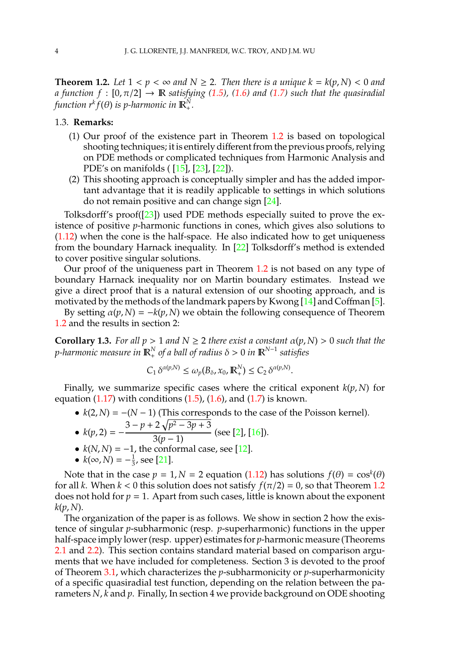<span id="page-3-0"></span>**Theorem 1.2.** Let  $1 < p < \infty$  and  $N \ge 2$ . Then there is a unique  $k = k(p, N) < 0$  and *a* function  $f : [0, \pi/2] \rightarrow \mathbb{R}$  *satisfying* [\(1.5\)](#page-1-1), [\(1.6\)](#page-1-1) and [\(1.7\)](#page-1-1) such that the quasiradial  $f$ unction  $r^k f(\theta)$  is p-harmonic in  $\mathbb{R}^N_+$ .

## 1.3. **Remarks:**

- (1) Our proof of the existence part in Theorem [1.2](#page-3-0) is based on topological shooting techniques; it is entirely different from the previous proofs, relying on PDE methods or complicated techniques from Harmonic Analysis and PDE's on manifolds ( [\[15\]](#page-23-5), [\[23\]](#page-23-6), [\[22\]](#page-23-7)).
- (2) This shooting approach is conceptually simpler and has the added important advantage that it is readily applicable to settings in which solutions do not remain positive and can change sign [\[24\]](#page-23-8).

Tolksdorff's proof([\[23\]](#page-23-6)) used PDE methods especially suited to prove the existence of positive *p*-harmonic functions in cones, which gives also solutions to [\(1.12\)](#page-2-1) when the cone is the half-space. He also indicated how to get uniqueness from the boundary Harnack inequality. In [\[22\]](#page-23-7) Tolksdorff's method is extended to cover positive singular solutions.

Our proof of the uniqueness part in Theorem [1.2](#page-3-0) is not based on any type of boundary Harnack inequality nor on Martin boundary estimates. Instead we give a direct proof that is a natural extension of our shooting approach, and is motivated by the methods of the landmark papers by Kwong [\[14\]](#page-23-9) and Coffman [\[5\]](#page-22-3).

By setting  $\alpha(p, N) = -k(p, N)$  we obtain the following consequence of Theorem [1.2](#page-3-0) and the results in section 2:

**Corollary 1.3.** *For all p* > 1 *and*  $N \ge 2$  *there exist a constant*  $\alpha(p, N) > 0$  *such that the p-harmonic measure in*  $\mathbb{R}^N_+$  *of a ball of radius*  $\delta > 0$  *in*  $\mathbb{R}^{N-1}$  *satisfies* 

$$
C_1 \delta^{\alpha(p,N)} \leq \omega_p(B_\delta, x_0, \mathbb{R}^N_+) \leq C_2 \delta^{\alpha(p,N)}.
$$

Finally, we summarize specific cases where the critical exponent  $k(p, N)$  for equation  $(1.17)$  with conditions  $(1.5)$ ,  $(1.6)$ , and  $(1.7)$  is known.

•  $k(2, N) = -(N - 1)$  (This corresponds to the case of the Poisson kernel).

• 
$$
k(p, 2) = -\frac{3 - p + 2\sqrt{p^2 - 3p + 3}}{3(p - 1)}
$$
 (see [2], [16])

- $k(N, N) = -1$ , the conformal case, see [\[12\]](#page-23-4).
- $k(\infty, N) = -\frac{1}{3}$  $\frac{1}{3}$ , see [\[21\]](#page-23-2).

Note that in the case  $p = 1, N = 2$  equation [\(1.12\)](#page-2-1) has solutions  $f(\theta) = \cos^k(\theta)$ for all *k*. When  $k < 0$  this solution does not satisfy  $f(\pi/2) = 0$ , so that Theorem [1.2](#page-3-0) does not hold for  $p = 1$ . Apart from such cases, little is known about the exponent  $k(p, N)$ .

The organization of the paper is as follows. We show in section 2 how the existence of singular *p*-subharmonic (resp. *p*-superharmonic) functions in the upper half-space imply lower (resp. upper) estimates for *p*-harmonic measure (Theorems [2.1](#page-4-0) and [2.2\)](#page-5-0). This section contains standard material based on comparison arguments that we have included for completeness. Section 3 is devoted to the proof of Theorem [3.1,](#page-7-0) which characterizes the *p*-subharmonicity or *p*-superharmonicity of a specific quasiradial test function, depending on the relation between the parameters *N*, *k* and *p*. Finally, In section 4 we provide background on ODE shooting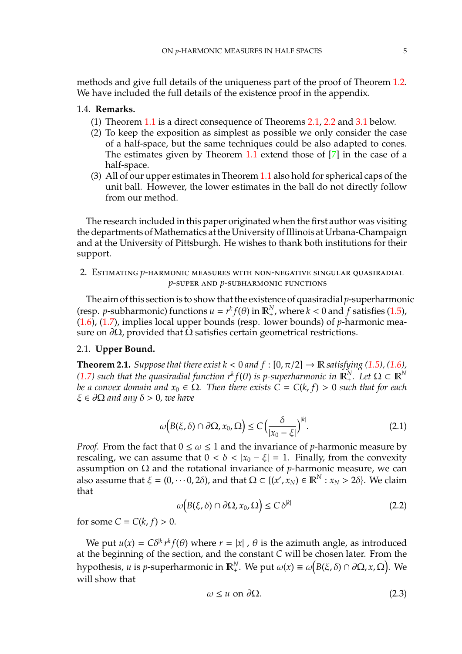methods and give full details of the uniqueness part of the proof of Theorem [1.2.](#page-3-0) We have included the full details of the existence proof in the appendix.

# 1.4. **Remarks.**

- (1) Theorem [1.1](#page-2-3) is a direct consequence of Theorems [2.1,](#page-4-0) [2.2](#page-5-0) and [3.1](#page-7-0) below.
- (2) To keep the exposition as simplest as possible we only consider the case of a half-space, but the same techniques could be also adapted to cones. The estimates given by Theorem [1.1](#page-2-3) extend those of [\[7\]](#page-22-2) in the case of a half-space.
- (3) All of our upper estimates in Theorem [1.1](#page-2-3) also hold for spherical caps of the unit ball. However, the lower estimates in the ball do not directly follow from our method.

The research included in this paper originated when the first author was visiting the departments of Mathematics at the University of Illinois at Urbana-Champaign and at the University of Pittsburgh. He wishes to thank both institutions for their support.

2. Estimating *p*-harmonic measures with non-negative singular quasiradial *p*-super and *p*-subharmonic functions

The aim of this section is to show that the existence of quasiradial *p*-superharmonic (resp. *p*-subharmonic) functions  $u = r^k f(\theta)$  in  $\mathbb{R}^N_+$ , where  $k < 0$  and  $f$  satisfies [\(1.5\)](#page-1-1), [\(1.6\)](#page-1-1), [\(1.7\)](#page-1-1), implies local upper bounds (resp. lower bounds) of *p*-harmonic measure on  $\partial\Omega$ , provided that  $\Omega$  satisfies certain geometrical restrictions.

## 2.1. **Upper Bound.**

<span id="page-4-0"></span>**Theorem 2.1.** *Suppose that there exist k* < 0 *and*  $f$  :  $[0, \pi/2] \rightarrow \mathbb{R}$  *satisfying* [\(1.5\)](#page-1-1)*,* (1.6*), [\(1.7\)](#page-1-1)* such that the quasiradial function  $r^k f(\theta)$  is p-superharmonic in  $\mathbb{R}^N_+$ . Let  $\Omega \subset \mathbb{R}^N$ *be a convex domain and*  $x_0 \in \Omega$ . Then there exists  $C = C(k, f) > 0$  such that for each ξ ∈ ∂Ω *and any* δ > 0*, we have*

$$
\omega\big(B(\xi,\delta)\cap\partial\Omega,x_0,\Omega\big)\leq C\Big(\frac{\delta}{|x_0-\xi|}\Big)^{|k|}.\tag{2.1}
$$

*Proof.* From the fact that  $0 \leq \omega \leq 1$  and the invariance of *p*-harmonic measure by rescaling, we can assume that  $0 < \delta < |x_0 - \xi| = 1$ . Finally, from the convexity assumption on  $Ω$  and the rotational invariance of *p*-harmonic measure, we can also assume that  $\xi = (0, \dots 0, 2\delta)$ , and that  $\Omega \subset \{(x', x_N) \in \mathbb{R}^N : x_N > 2\delta\}$ . We claim that

<span id="page-4-2"></span>
$$
\omega\big(B(\xi,\delta)\cap\partial\Omega,x_0,\Omega\big)\leq C\,\delta^{|k|}\tag{2.2}
$$

for some  $C = C(k, f) > 0$ .

We put  $u(x) = C\delta^{|k|}r^k f(\theta)$  where  $r = |x|$ ,  $\theta$  is the azimuth angle, as introduced at the beginning of the section, and the constant *C* will be chosen later. From the hypothesis*, u* is *p*-superharmonic in  $\mathbb{R}^N_+$ . We put  $\omega(x) \equiv \omega(B(\xi, \delta) \cap \partial\Omega, x, \Omega)$ . We will show that

<span id="page-4-1"></span>
$$
\omega \le u \text{ on } \partial \Omega. \tag{2.3}
$$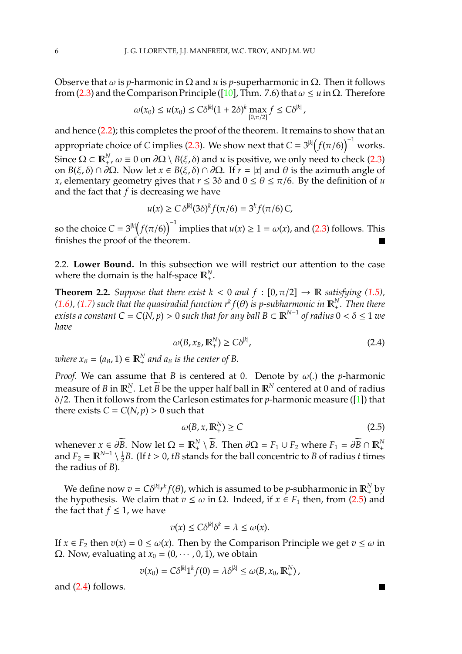Observe that  $ω$  is *p*-harmonic in  $Ω$  and  $u$  is *p*-superharmonic in  $Ω$ . Then it follows from [\(2.3\)](#page-4-1) and the Comparison Principle ([\[10\]](#page-23-0), Thm. 7.6) that  $\omega \le u$  in  $\Omega$ . Therefore

$$
\omega(x_0) \leq u(x_0) \leq C\delta^{|k|}(1+2\delta)^k \max_{[0,\pi/2]} f \leq C\delta^{|k|},
$$

and hence [\(2.2\)](#page-4-2); this completes the proof of the theorem. It remains to show that an appropriate choice of *C* implies [\(2.3\)](#page-4-1). We show next that  $C = 3^{|k|}(f(\pi/6))^{-1}$  works. Since  $\Omega \subset \mathbb{R}^N_+$ ,  $\omega \equiv 0$  on  $\partial\Omega \setminus B(\xi, \delta)$  and  $u$  is positive, we only need to check [\(2.3\)](#page-4-1) on *B*(ξ, δ) ∩ ∂Ω. Now let *x* ∈ *B*(ξ, δ) ∩ ∂Ω. If *r* = |*x*| and θ is the azimuth angle of *x*, elementary geometry gives that  $r \leq 3\delta$  and  $0 \leq \theta \leq \pi/6$ . By the definition of *u* and the fact that *f* is decreasing we have

$$
u(x) \geq C \delta^{|k|} (3\delta)^k f(\pi/6) = 3^k f(\pi/6) C,
$$

so the choice  $C = 3^{|k|} (f(\pi/6))^{-1}$  implies that  $u(x) \ge 1 = \omega(x)$ , and [\(2.3\)](#page-4-1) follows. This finishes the proof of the theorem.

2.2. **Lower Bound.** In this subsection we will restrict our attention to the case where the domain is the half-space  $\mathbb{R}^N_+$ .

<span id="page-5-0"></span>**Theorem 2.2.** *Suppose that there exist*  $k < 0$  *and*  $f : [0, \pi/2] \rightarrow \mathbb{R}$  *satisfying* [\(1.5\)](#page-1-1),  $(1.6)$ ,  $(1.7)$  such that the quasiradial function  $r^k f(\theta)$  is p-subharmonic in  $\mathbb{R}^N_+$ . Then there *exists a constant C = C(N, p) > 0 such that for any ball B*  $\subset$  $\mathbb{R}^{N-1}$  *of radius 0 <*  $\delta$  $\leq$  *1 we have*

<span id="page-5-2"></span>
$$
\omega(B, x_B, \mathbb{R}^N_+) \ge C\delta^{|k|},\tag{2.4}
$$

*where*  $x_B = (a_B, 1) \in \mathbb{R}^N_+$  *and*  $a_B$  *is the center of B*.

*Proof.* We can assume that *B* is centered at 0. Denote by  $\omega$ (.) the *p*-harmonic measure of *B* in  $\mathbb{R}^N_+$ . Let *B* be the upper half ball in  $\mathbb{R}^N$  centered at 0 and of radius δ/2. Then it follows from the Carleson estimates for *p*-harmonic measure ([\[1\]](#page-22-4)) that there exists  $C = C(N, p) > 0$  such that

<span id="page-5-1"></span>
$$
\omega(B, x, \mathbb{R}^N_+) \ge C \tag{2.5}
$$

whenever  $x \in \partial \overline{B}$ . Now let  $\Omega = \mathbb{R}^N_+ \setminus \overline{B}$ . Then  $\partial \Omega = F_1 \cup F_2$  where  $F_1 = \partial \overline{B} \cap \mathbb{R}^N_+$ and  $F_2 = \mathbb{R}^{N-1} \setminus \frac{1}{2}$  $\frac{1}{2}B$ . (If *t* > 0, *tB* stands for the ball concentric to *B* of radius *t* times the radius of *B*).

We define now  $v = C \delta^{|k|} r^k f(\theta)$ , which is assumed to be *p*-subharmonic in  $\mathbb{R}^N_+$  by the hypothesis. We claim that  $v \leq \omega$  in  $\Omega$ . Indeed, if  $x \in F_1$  then, from [\(2.5\)](#page-5-1) and the fact that  $f \leq 1$ , we have

$$
v(x) \le C\delta^{|k|}\delta^k = \lambda \le \omega(x).
$$

If  $x \in F_2$  then  $v(x) = 0 \le \omega(x)$ . Then by the Comparison Principle we get  $v \le \omega$  in Ω. Now, evaluating at  $x_0 = (0, \dots, 0, 1)$ , we obtain

$$
v(x_0) = C\delta^{|k|}1^k f(0) = \lambda \delta^{|k|} \le \omega(B, x_0, \mathbb{R}^N_+),
$$

and [\(2.4\)](#page-5-2) follows.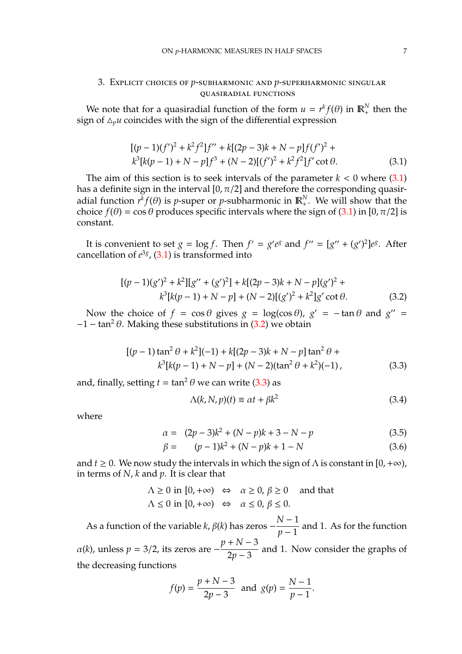# 3. Explicit choices of *p*-subharmonic and *p*-superharmonic singular quasiradial functions

We note that for a quasiradial function of the form  $u = r^k f(\theta)$  in  $\mathbb{R}^N_+$  then the sign of  $\Delta_p u$  coincides with the sign of the differential expression

<span id="page-6-0"></span>
$$
[(p-1)(f')^{2} + k^{2}f^{2}]f'' + k[(2p-3)k + N - p]f(f')^{2} + k^{3}[k(p-1) + N - p]f^{3} + (N-2)[(f')^{2} + k^{2}f^{2}]f' \cot \theta.
$$
\n(3.1)

The aim of this section is to seek intervals of the parameter  $k < 0$  where  $(3.1)$ has a definite sign in the interval [0,  $\pi/2$ ] and therefore the corresponding quasiradial function  $r^k f(\theta)$  is *p*-super or *p*-subharmonic in  $\mathbb{R}^N_+$ . We will show that the choice  $f(\theta) = \cos \theta$  produces specific intervals where the sign of [\(3.1\)](#page-6-0) in [0,  $\pi/2$ ] is constant.

It is convenient to set  $g = \log f$ . Then  $f' = g'e^g$  and  $f'' = [g'' + (g')^2]e^g$ . After cancellation of  $e^{3g}$ ,  $(3.1)$  is transformed into

<span id="page-6-1"></span>
$$
[(p-1)(g')^{2} + k^{2}][g'' + (g')^{2}] + k[(2p-3)k + N - p](g')^{2} + k^{3}[k(p-1) + N - p] + (N-2)[(g')^{2} + k^{2}]g' \cot \theta.
$$
 (3.2)

Now the choice of  $f = \cos \theta$  gives  $g = \log(\cos \theta)$ ,  $g' = -\tan \theta$  and  $g'' =$  $-1 - \tan^2 \theta$ . Making these substitutions in [\(3.2\)](#page-6-1) we obtain

<span id="page-6-2"></span>
$$
[(p-1)\tan^2\theta + k^2](-1) + k[(2p-3)k + N - p]\tan^2\theta +
$$
  

$$
k^3[k(p-1) + N - p] + (N-2)(\tan^2\theta + k^2)(-1),
$$
 (3.3)

and, finally, setting  $t = \tan^2 \theta$  we can write [\(3.3\)](#page-6-2) as

$$
\Lambda(k, N, p)(t) \equiv \alpha t + \beta k^2 \tag{3.4}
$$

where

$$
\alpha = (2p - 3)k^2 + (N - p)k + 3 - N - p \tag{3.5}
$$

$$
\beta = (p-1)k^2 + (N-p)k + 1 - N \tag{3.6}
$$

and  $t \geq 0$ . We now study the intervals in which the sign of  $\Lambda$  is constant in [0, + $\infty$ ), in terms of *N*, *k* and *p*. It is clear that

$$
\Lambda \ge 0 \text{ in } [0, +\infty) \Leftrightarrow \alpha \ge 0, \beta \ge 0 \text{ and that}
$$
  

$$
\Lambda \le 0 \text{ in } [0, +\infty) \Leftrightarrow \alpha \le 0, \beta \le 0.
$$

As a function of the variable  $k$ ,  $\beta$ ( $k$ ) has zeros − *N* − 1  $\frac{n-1}{p-1}$  and 1. As for the function  $\alpha(k)$ , unless  $p = 3/2$ , its zeros are  $$ *p* + *N* − 3  $\frac{1}{2p-3}$  and 1. Now consider the graphs of the decreasing functions

$$
f(p) = \frac{p+N-3}{2p-3}
$$
 and  $g(p) = \frac{N-1}{p-1}$ .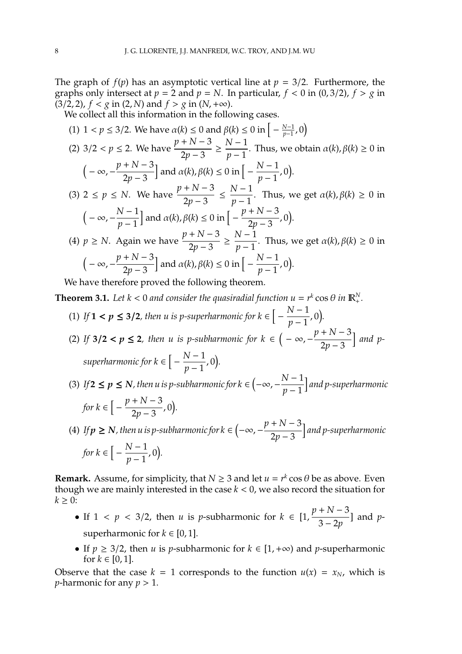The graph of  $f(p)$  has an asymptotic vertical line at  $p = 3/2$ . Furthermore, the graphs only intersect at  $p = 2$  and  $p = N$ . In particular,  $f < 0$  in (0,3/2),  $f > g$  in  $(3/2, 2)$ ,  $f < g$  in  $(2, N)$  and  $f > g$  in  $(N, +\infty)$ .

We collect all this information in the following cases.

(1) 
$$
1 < p \le 3/2
$$
. We have  $\alpha(k) \le 0$  and  $\beta(k) \le 0$  in  $\left[-\frac{N-1}{p-1}, 0\right)$   
\n(2)  $3/2 < p \le 2$ . We have  $\frac{p+N-3}{2p-3} \ge \frac{N-1}{p-1}$ . Thus, we obtain  $\alpha(k), \beta(k) \ge 0$  in  $\left(-\infty, -\frac{p+N-3}{2p-3}\right]$  and  $\alpha(k), \beta(k) \le 0$  in  $\left[-\frac{N-1}{p-1}, 0\right)$ .  
\n(3)  $2 \le p \le N$ . We have  $\frac{p+N-3}{2p-3} \le \frac{N-1}{p-1}$ . Thus, we get  $\alpha(k), \beta(k) \ge 0$  in  $\left(-\infty, -\frac{N-1}{p-1}\right]$  and  $\alpha(k), \beta(k) \le 0$  in  $\left[-\frac{p+N-3}{2p-3}, 0\right)$ .  
\n(4)  $p \ge N$ . Again we have  $\frac{p+N-3}{2p-3} \ge \frac{N-1}{p-1}$ . Thus, we get  $\alpha(k), \beta(k) \ge 0$  in  $\left(-\infty, -\frac{p+N-3}{2p-3}\right]$  and  $\alpha(k), \beta(k) \le 0$  in  $\left[-\frac{N-1}{p-1}, 0\right)$ .

We have therefore proved the following theorem.

- <span id="page-7-0"></span>**Theorem 3.1.** Let  $k < 0$  and consider the quasiradial function  $u = r^k \cos \theta$  in  $\mathbb{R}^N_+$ .
	- (1) If  $1 < p \leq 3/2$ , then u is p-superharmonic for  $k \in \left[ -\frac{N-1}{n-1} \right]$  $\frac{(y-1)}{p-1}$ , 0).
	- (2) If  $3/2 < p \le 2$ , then u is p-subharmonic for  $k \in (-\infty, -\infty)$ *p* + *N* − 3 2*p* − 3 **]** and p*superharmonic for*  $k \in \left[ -\frac{N-1}{N-1} \right]$  $\frac{(y-1)}{p-1}$ , 0).
	- (3) If  $2 \le p \le N$ , then u is p-subharmonic for  $k \in \left(-\infty, -\frac{N-1}{N-1}\right)$ *p* − 1 i *and p-superharmonic for*  $k \in \left[ -\frac{p+N-3}{2p-3} \right]$  $\frac{+10-3}{2p-3}$ , 0).
	- (4) If  $p \ge N$ , then u is p-subharmonic for  $k \in \left(-\infty, -\right)$ *p* + *N* − 3 2*p* − 3 i *and p-superharmonic for*  $k \in \left[ -\frac{N-1}{n-1} \right]$  $\frac{(y-1)}{p-1}$ , 0).

**Remark.** Assume, for simplicity, that  $N \geq 3$  and let  $u = r^k \cos \theta$  be as above. Even though we are mainly interested in the case  $k < 0$ , we also record the situation for  $k \geq 0$ :

- If  $1 < p < 3/2$ , then *u* is *p*-subharmonic for  $k \in [1, 1]$ *p* + *N* − 3 3 − 2*p* ] and *p*superharmonic for  $k \in [0, 1]$ .
- If  $p \geq 3/2$ , then *u* is *p*-subharmonic for  $k \in [1, +\infty)$  and *p*-superharmonic for  $k \in [0, 1]$ .

Observe that the case  $k = 1$  corresponds to the function  $u(x) = x_N$ , which is *p*-harmonic for any  $p > 1$ .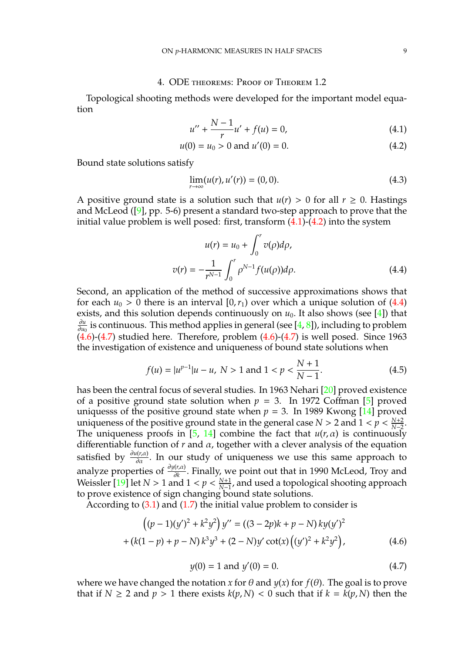## 4. ODE theorems: Proof of Theorem 1.2

Topological shooting methods were developed for the important model equation

<span id="page-8-0"></span>
$$
u'' + \frac{N-1}{r}u' + f(u) = 0,
$$
\n(4.1)

$$
u(0) = u_0 > 0 \text{ and } u'(0) = 0. \tag{4.2}
$$

Bound state solutions satisfy

$$
\lim_{r \to \infty} (u(r), u'(r)) = (0, 0). \tag{4.3}
$$

A positive ground state is a solution such that  $u(r) > 0$  for all  $r \ge 0$ . Hastings and McLeod  $(9)$ , pp. 5-6) present a standard two-step approach to prove that the initial value problem is well posed: first, transform  $(4.1)-(4.2)$  $(4.1)-(4.2)$  $(4.1)-(4.2)$  into the system

<span id="page-8-1"></span>
$$
u(r) = u_0 + \int_0^r v(\rho)d\rho,
$$
  

$$
v(r) = -\frac{1}{r^{N-1}} \int_0^r \rho^{N-1} f(u(\rho))d\rho.
$$
 (4.4)

Second, an application of the method of successive approximations shows that for each  $u_0 > 0$  there is an interval  $[0, r_1)$  over which a unique solution of  $(4.4)$ exists, and this solution depends continuously on  $u_0$ . It also shows (see [\[4\]](#page-22-5)) that ∂*u*  $\frac{\partial u}{\partial u_0}$  is continuous. This method applies in general (see [\[4,](#page-22-5) [8\]](#page-22-6)), including to problem  $(4.6)-(4.7)$  $(4.6)-(4.7)$  $(4.6)-(4.7)$  studied here. Therefore, problem  $(4.6)-(4.7)$  is well posed. Since 1963 the investigation of existence and uniqueness of bound state solutions when

$$
f(u) = |u^{p-1}|u - u, N > 1 \text{ and } 1 < p < \frac{N+1}{N-1}.
$$
 (4.5)

has been the central focus of several studies. In 1963 Nehari [\[20\]](#page-23-11) proved existence of a positive ground state solution when  $p = 3$ . In 1972 Coffman [\[5\]](#page-22-3) proved uniquesss of the positive ground state when  $p = 3$ . In 1989 Kwong [\[14\]](#page-23-9) proved uniqueness of the positive ground state in the general case *N* > 2 and  $1 < p < \frac{N+2}{N-2}$ . The uniqueness proofs in [\[5,](#page-22-3) [14\]](#page-23-9) combine the fact that  $u(r, \alpha)$  is continuously differentiable function of *r* and α, together with a clever analysis of the equation satisfied by  $\frac{\partial u(r,\alpha)}{\partial \alpha}$ . In our study of uniqueness we use this same approach to analyze properties of <sup>∂</sup>*y*(*r*,α) ∂*k* . Finally, we point out that in 1990 McLeod, Troy and Weissler [\[19\]](#page-23-12) let  $N > 1$  and  $1 < p < \frac{N+1}{N-1}$ , and used a topological shooting approach to prove existence of sign changing bound state solutions.

According to [\(3.1\)](#page-6-0) and [\(1.7\)](#page-1-1) the initial value problem to consider is

<span id="page-8-2"></span>
$$
((p-1)(y')^{2} + k^{2}y^{2}) y'' = ((3-2p)k + p - N) k y (y')^{2}
$$

$$
+ (k(1-p) + p - N) k^{3}y^{3} + (2 - N)y' \cot(x) ((y')^{2} + k^{2}y^{2}),
$$
(4.6)

<span id="page-8-3"></span>
$$
y(0) = 1 \text{ and } y'(0) = 0. \tag{4.7}
$$

where we have changed the notation *x* for  $\theta$  and  $y(x)$  for  $f(\theta)$ . The goal is to prove that if  $N \ge 2$  and  $p > 1$  there exists  $k(p, N) < 0$  such that if  $k = k(p, N)$  then the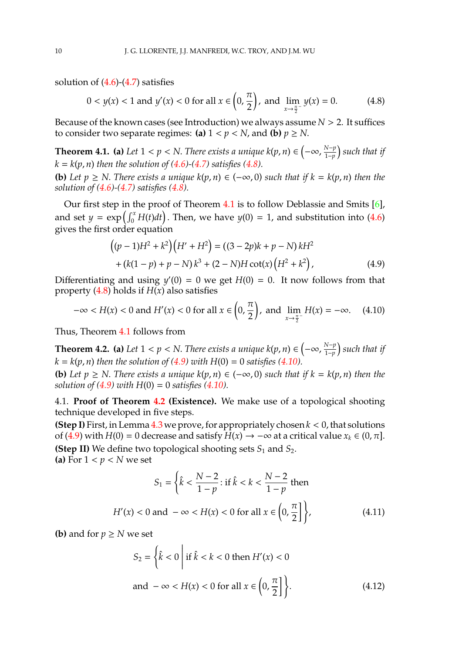solution of  $(4.6)-(4.7)$  $(4.6)-(4.7)$  $(4.6)-(4.7)$  satisfies

<span id="page-9-0"></span>
$$
0 < y(x) < 1 \text{ and } y'(x) < 0 \text{ for all } x \in \left(0, \frac{\pi}{2}\right), \text{ and } \lim_{x \to \frac{\pi}{2}} y(x) = 0. \tag{4.8}
$$

Because of the known cases (see Introduction) we always assume *N* > 2. It suffices to consider two separate regimes: **(a)**  $1 < p < N$ , and **(b)**  $p \ge N$ .

<span id="page-9-1"></span>**Theorem 4.1. (a)** Let  $1 < p < N$ . There exists a unique  $k(p, n) \in \left(-\infty, \frac{N-p}{1-p}\right)$ 1−*p such that if*  $k = k(p, n)$  *then the solution of* [\(4.6\)](#page-8-2)–[\(4.7\)](#page-8-3) *satisfies* [\(4.8\)](#page-9-0)*.* 

**(b)** *Let p* ≥ *N*. *There exists a unique k*(*p*, *n*) ∈ (−∞, 0) *such that if k* = *k*(*p*, *n*) *then the solution of [\(4.6\)](#page-8-2)-[\(4.7\)](#page-8-3) satisfies [\(4.8\)](#page-9-0).*

Our first step in the proof of Theorem [4.1](#page-9-1) is to follow Deblassie and Smits [\[6\]](#page-22-1), and set  $y = \exp\left(\int_0^x H(t)dt\right)$ . Then, we have  $y(0) = 1$ , and substitution into [\(4.6\)](#page-8-2) gives the first order equation

<span id="page-9-2"></span>
$$
((p-1)H2 + k2)(H' + H2) = ((3-2p)k + p - N)kH2+ (k(1-p) + p - N)k3 + (2 - N)H cot(x)(H2 + k2),
$$
\n(4.9)

Differentiating and using  $y'(0) = 0$  we get  $H(0) = 0$ . It now follows from that property  $(4.8)$  holds if  $H(x)$  also satisfies

<span id="page-9-3"></span>
$$
-\infty < H(x) < 0 \text{ and } H'(x) < 0 \text{ for all } x \in \left(0, \frac{\pi}{2}\right), \text{ and } \lim_{x \to \frac{\pi}{2}^-} H(x) = -\infty. \tag{4.10}
$$

Thus, Theorem [4.1](#page-9-1) follows from

<span id="page-9-4"></span>**Theorem 4.2.** (a) Let  $1 < p < N$ . There exists a unique  $k(p, n) \in \left(-\infty, \frac{N-p}{1-p}\right)$ 1−*p such that if*  $k = k(p, n)$  *then the solution of [\(4.9\)](#page-9-2)* with  $H(0) = 0$  *satisfies [\(4.10\)](#page-9-3).* 

**(b)** Let  $p \ge N$ . There exists a unique  $k(p, n) \in (-\infty, 0)$  such that if  $k = k(p, n)$  then the *solution of*  $(4.9)$  *with*  $H(0) = 0$  *satisfies*  $(4.10)$ *.* 

4.1. **Proof of Theorem [4.2](#page-9-4) (Existence).** We make use of a topological shooting technique developed in five steps.

**(Step I)** First, in Lemma  $4.3$  we prove, for appropriately chosen  $k < 0$ , that solutions of [\(4.9\)](#page-9-2) with *H*(0) = 0 decrease and satisfy *H*(*x*) → −∞ at a critical value  $x_k \in (0, \pi]$ . **(Step II)** We define two topological shooting sets  $S_1$  and  $S_2$ . (a) For  $1 < p < N$  we set

$$
S_1 = \left\{ \hat{k} < \frac{N-2}{1-p} : \text{if } \hat{k} < k < \frac{N-2}{1-p} \text{ then} \right\}
$$
\n
$$
H'(x) < 0 \text{ and } -\infty < H(x) < 0 \text{ for all } x \in \left(0, \frac{\pi}{2}\right] \right\},\tag{4.11}
$$

**(b)** and for  $p \geq N$  we set

$$
S_2 = \left\{ \hat{k} < 0 \mid \text{if } \hat{k} < k < 0 \text{ then } H'(x) < 0 \right\}
$$
\n
$$
\text{and } -\infty < H(x) < 0 \text{ for all } x \in \left( 0, \frac{\pi}{2} \right] \right\}. \tag{4.12}
$$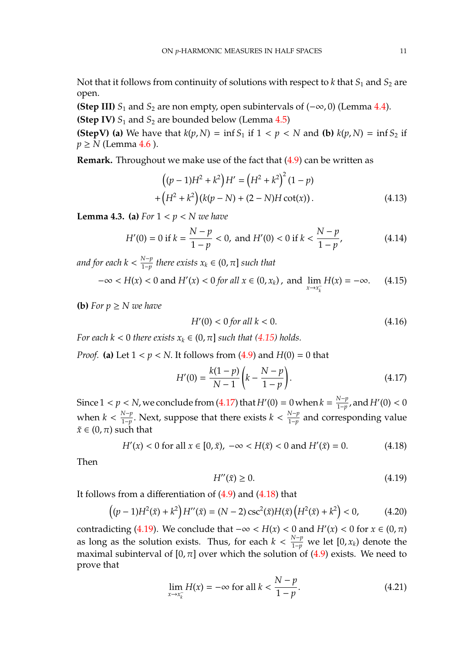Not that it follows from continuity of solutions with respect to  $k$  that  $S_1$  and  $S_2$  are open.

**(Step III)**  $S_1$  and  $S_2$  are non empty, open subintervals of  $(-\infty, 0)$  (Lemma [4.4\)](#page-12-0). **(Step IV)**  $S_1$  and  $S_2$  are bounded below (Lemma [4.5\)](#page-13-0)

**(StepV)** (a) We have that  $k(p, N) = \inf S_1$  if  $1 < p < N$  and (b)  $k(p, N) = \inf S_2$  if  $p \geq N$  (Lemma [4.6](#page-14-0)).

**Remark.** Throughout we make use of the fact that [\(4.9\)](#page-9-2) can be written as

<span id="page-10-5"></span>
$$
((p-1)H2 + k2)H' = (H2 + k2)2 (1 - p)
$$
  
+ 
$$
(H2 + k2)(k(p - N) + (2 - N)H \cot(x)).
$$
 (4.13)

<span id="page-10-0"></span>**Lemma 4.3.** (a) For  $1 < p < N$  we have

$$
H'(0) = 0 \text{ if } k = \frac{N-p}{1-p} < 0, \text{ and } H'(0) < 0 \text{ if } k < \frac{N-p}{1-p}, \tag{4.14}
$$

*and for each k* <  $\frac{N-p}{1-p}$ 1−*p there exists x<sup>k</sup>* ∈ (0, π] *such that*

<span id="page-10-1"></span>
$$
-\infty < H(x) < 0 \text{ and } H'(x) < 0 \text{ for all } x \in (0, x_k), \text{ and } \lim_{x \to x_k^-} H(x) = -\infty.
$$
 (4.15)

**(b)** For  $p \geq N$  we have

$$
H'(0) < 0 \text{ for all } k < 0. \tag{4.16}
$$

*For each k* < 0 *there exists*  $x_k \in (0, \pi]$  *such that* [\(4.15\)](#page-10-1) *holds.* 

*Proof.* (a) Let  $1 < p < N$ . It follows from [\(4.9\)](#page-9-2) and  $H(0) = 0$  that

<span id="page-10-2"></span>
$$
H'(0) = \frac{k(1-p)}{N-1} \left( k - \frac{N-p}{1-p} \right).
$$
 (4.17)

Since  $1 < p < N$ , we conclude from [\(4.17\)](#page-10-2) that  $H'(0) = 0$  when  $k = \frac{N-p}{1-p}$ <u><sup>N−p</sup></u>, and  $H'(0) < 0$ when  $k < \frac{N-p}{1-p}$  $\frac{N-p}{1-p}$ . Next, suppose that there exists  $k < \frac{N-p}{1-p}$ .  $\frac{1-p}{1-p}$  and corresponding value  $\tilde{x} \in (0, \pi)$  such that

<span id="page-10-3"></span>
$$
H'(x) < 0 \text{ for all } x \in [0, \tilde{x}), \ -\infty < H(\tilde{x}) < 0 \text{ and } H'(\tilde{x}) = 0. \tag{4.18}
$$

Then

<span id="page-10-4"></span>
$$
H''(\tilde{x}) \ge 0. \tag{4.19}
$$

It follows from a differentiation of [\(4.9\)](#page-9-2) and [\(4.18\)](#page-10-3) that

$$
((p-1)H^2(\tilde{x}) + k^2)H''(\tilde{x}) = (N-2)\csc^2(\tilde{x})H(\tilde{x})\left(H^2(\tilde{x}) + k^2\right) < 0,\tag{4.20}
$$

contradicting [\(4.19\)](#page-10-4). We conclude that  $-\infty < H(x) < 0$  and  $H'(x) < 0$  for  $x \in (0, \pi)$ as long as the solution exists. Thus, for each  $k < \frac{N-p}{1-p}$  we let  $[0, x_k)$  denote the maximal subinterval of  $[0, \pi]$  over which the solution of  $(4.9)$  exists. We need to prove that

<span id="page-10-6"></span>
$$
\lim_{x \to x_k^-} H(x) = -\infty \text{ for all } k < \frac{N - p}{1 - p}.\tag{4.21}
$$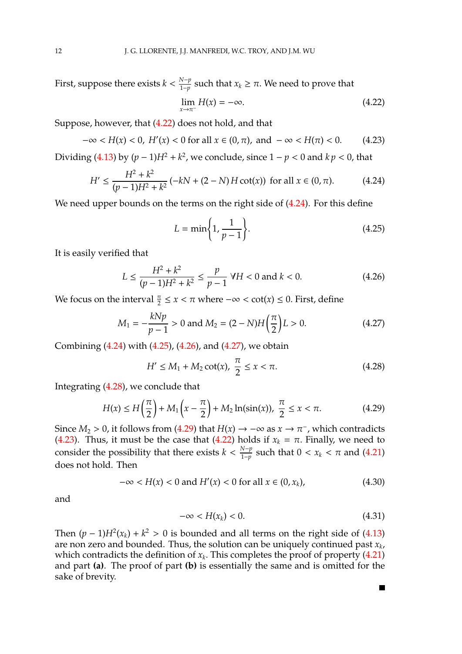First, suppose there exists  $k < \frac{N-p}{1-p}$  $\frac{N-p}{1-p}$  such that  $x_k ≥ π$ . We need to prove that

<span id="page-11-0"></span>
$$
\lim_{x \to \pi^-} H(x) = -\infty. \tag{4.22}
$$

Suppose, however, that [\(4.22\)](#page-11-0) does not hold, and that

<span id="page-11-7"></span>
$$
-\infty < H(x) < 0, \ H'(x) < 0 \text{ for all } x \in (0, \pi), \text{ and } -\infty < H(\pi) < 0. \tag{4.23}
$$

Dividing [\(4.13\)](#page-10-5) by  $(p-1)H^2 + k^2$ , we conclude, since  $1 - p < 0$  and  $kp < 0$ , that

<span id="page-11-1"></span>
$$
H' \le \frac{H^2 + k^2}{(p-1)H^2 + k^2} \left(-kN + (2-N)H\cot(x)\right) \text{ for all } x \in (0, \pi). \tag{4.24}
$$

We need upper bounds on the terms on the right side of  $(4.24)$ . For this define

<span id="page-11-2"></span>
$$
L = \min\bigg\{1, \frac{1}{p-1}\bigg\}.\tag{4.25}
$$

It is easily verified that

<span id="page-11-3"></span>
$$
L \le \frac{H^2 + k^2}{(p-1)H^2 + k^2} \le \frac{p}{p-1} \quad \forall H < 0 \text{ and } k < 0. \tag{4.26}
$$

We focus on the interval  $\frac{\pi}{2} \le x < \pi$  where  $-\infty < \cot(x) \le 0$ . First, define

<span id="page-11-4"></span>
$$
M_1 = -\frac{kNp}{p-1} > 0 \text{ and } M_2 = (2 - N)H\left(\frac{\pi}{2}\right)L > 0.
$$
 (4.27)

Combining [\(4.24\)](#page-11-1) with [\(4.25\)](#page-11-2), [\(4.26\)](#page-11-3), and [\(4.27\)](#page-11-4), we obtain

<span id="page-11-5"></span>
$$
H' \le M_1 + M_2 \cot(x), \ \frac{\pi}{2} \le x < \pi. \tag{4.28}
$$

Integrating [\(4.28\)](#page-11-5), we conclude that

<span id="page-11-6"></span>
$$
H(x) \le H\left(\frac{\pi}{2}\right) + M_1\left(x - \frac{\pi}{2}\right) + M_2\ln(\sin(x)), \ \frac{\pi}{2} \le x < \pi. \tag{4.29}
$$

Since  $M_2 > 0$ , it follows from [\(4.29\)](#page-11-6) that  $H(x) \to -\infty$  as  $x \to \pi^-$ , which contradicts [\(4.23\)](#page-11-7). Thus, it must be the case that [\(4.22\)](#page-11-0) holds if  $x_k = \pi$ . Finally, we need to consider the possibility that there exists  $k < \frac{N-p}{1-p}$  $\frac{N-p}{1-p}$  such that 0 < *x<sub>k</sub>* < *π* and [\(4.21\)](#page-10-6) does not hold. Then

$$
-\infty < H(x) < 0 \text{ and } H'(x) < 0 \text{ for all } x \in (0, x_k),
$$
 (4.30)

and

$$
-\infty < H(x_k) < 0. \tag{4.31}
$$

П

Then  $(p-1)H^2(x_k) + k^2 > 0$  is bounded and all terms on the right side of [\(4.13\)](#page-10-5) are non zero and bounded. Thus, the solution can be uniquely continued past *x<sup>k</sup>* , which contradicts the definition of  $x_k$ . This completes the proof of property  $(4.21)$ and part **(a)**. The proof of part **(b)** is essentially the same and is omitted for the sake of brevity.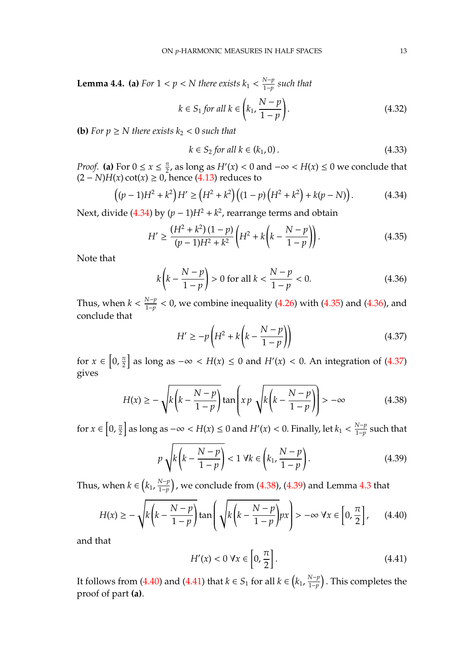<span id="page-12-0"></span>**Lemma 4.4.** (a) *For*  $1 < p < N$  *there exists*  $k_1 < \frac{N-p}{1-p}$ 1−*p such that*

$$
k \in S_1 \text{ for all } k \in \left(k_1, \frac{N-p}{1-p}\right). \tag{4.32}
$$

**(b)** For  $p \geq N$  there exists  $k_2 < 0$  such that

$$
k \in S_2 \text{ for all } k \in (k_1, 0). \tag{4.33}
$$

*Proof.* **(a)** For  $0 \le x \le \frac{\pi}{2}$  $\frac{\pi}{2}$ , as long as  $H'(x) < 0$  and  $-\infty < H(x) \le 0$  we conclude that  $(2 - N)H(x) \cot(x) \ge 0$ , hence [\(4.13\)](#page-10-5) reduces to

<span id="page-12-1"></span>
$$
((p-1)H2 + k2)H' \ge (H2 + k2)((1-p)(H2 + k2) + k(p - N)).
$$
 (4.34)

Next, divide  $(4.34)$  by  $(p-1)H^2 + k^2$ , rearrange terms and obtain

<span id="page-12-2"></span>
$$
H' \ge \frac{(H^2 + k^2)(1 - p)}{(p - 1)H^2 + k^2} \left( H^2 + k \left( k - \frac{N - p}{1 - p} \right) \right). \tag{4.35}
$$

Note that

<span id="page-12-3"></span>
$$
k\left(k - \frac{N - p}{1 - p}\right) > 0 \text{ for all } k < \frac{N - p}{1 - p} < 0. \tag{4.36}
$$

Thus, when  $k < \frac{N-p}{1-p}$  $\frac{1}{1-p}$  < 0, we combine inequality [\(4.26\)](#page-11-3) with [\(4.35\)](#page-12-2) and [\(4.36\)](#page-12-3), and conclude that

<span id="page-12-4"></span>
$$
H' \ge -p\left(H^2 + k\left(k - \frac{N - p}{1 - p}\right)\right) \tag{4.37}
$$

for  $x \in \left[0, \frac{\pi}{2}\right]$  $\left\lfloor \frac{\pi}{2} \right\rfloor$  as long as −∞ < *H*(*x*) ≤ 0 and *H'*(*x*) < 0. An integration of [\(4.37\)](#page-12-4) gives

<span id="page-12-5"></span>
$$
H(x) \ge -\sqrt{k\left(k - \frac{N-p}{1-p}\right)}\tan\left(x p \sqrt{k\left(k - \frac{N-p}{1-p}\right)}\right) > -\infty
$$
 (4.38)

for  $x \in \left[0, \frac{\pi}{2}\right]$  $\frac{\pi}{2}$  as long as  $-\infty < H(x) \leq 0$  and  $H'(x) < 0.$  Finally, let  $k_1 < \frac{N-p}{1-p}$  $\frac{N-p}{1-p}$  such that

<span id="page-12-6"></span>
$$
p\sqrt{k\left(k-\frac{N-p}{1-p}\right)} < 1 \ \forall k \in \left(k_1, \frac{N-p}{1-p}\right). \tag{4.39}
$$

Thus, when  $k \in (k_1, \frac{N-p}{1-p})$ *N−p* ), we conclude from [\(4.38\)](#page-12-5), [\(4.39\)](#page-12-6) and Lemma [4.3](#page-10-0) that

<span id="page-12-7"></span>
$$
H(x) \ge -\sqrt{k\left(k - \frac{N-p}{1-p}\right)}\tan\left(\sqrt{k\left(k - \frac{N-p}{1-p}\right)}px\right) > -\infty \,\forall x \in \left[0, \frac{\pi}{2}\right],\qquad(4.40)
$$

and that

<span id="page-12-8"></span>
$$
H'(x) < 0 \,\forall x \in \left[0, \frac{\pi}{2}\right].\tag{4.41}
$$

It follows from [\(4.40\)](#page-12-7) and [\(4.41\)](#page-12-8) that  $k \in S_1$  for all  $k \in (k_1, \frac{N-p}{1-p})$ 1−*p* . This completes the proof of part **(a)**.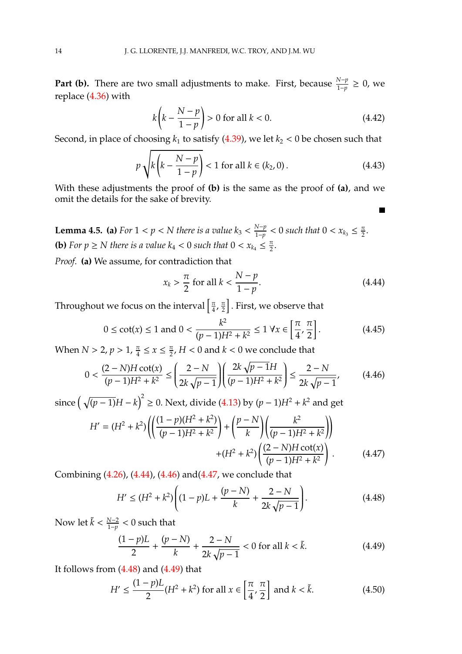**Part (b).** There are two small adjustments to make. First, because  $\frac{N-p}{1-p} \ge 0$ , we replace [\(4.36\)](#page-12-3) with

$$
k\left(k - \frac{N - p}{1 - p}\right) > 0 \text{ for all } k < 0.
$$
\n
$$
(4.42)
$$

Second, in place of choosing  $k_1$  to satisfy [\(4.39\)](#page-12-6), we let  $k_2 < 0$  be chosen such that

$$
p\sqrt{k\left(k-\frac{N-p}{1-p}\right)} < 1 \text{ for all } k \in (k_2, 0).
$$
 (4.43)

With these adjustments the proof of **(b)** is the same as the proof of **(a)**, and we omit the details for the sake of brevity.

<span id="page-13-0"></span>**Lemma 4.5.** (a) *For*  $1 < p < N$  *there is a value*  $k_3 < \frac{N-p}{1-p}$  $\frac{N-p}{1-p}$  < 0 such that 0 <  $x_{k_3}$  ≤  $\frac{\pi}{2}$  $\frac{\pi}{2}$ . **(b)** For  $p \ge N$  there is a value  $k_4 < 0$  such that  $0 < x_{k_4} \le \frac{\pi}{2}$  $\frac{\pi}{2}$ .

*Proof.* **(a)** We assume, for contradiction that

<span id="page-13-1"></span>
$$
x_k > \frac{\pi}{2} \text{ for all } k < \frac{N-p}{1-p}.
$$
 (4.44)

П

Throughout we focus on the interval  $\left\lceil \frac{\pi}{4} \right\rceil$  $\frac{\pi}{4}$ ,  $\frac{\pi}{2}$  $\left[\frac{\pi}{2}\right]$ . First, we observe that

$$
0 \le \cot(x) \le 1
$$
 and  $0 < \frac{k^2}{(p-1)H^2 + k^2} \le 1 \ \forall x \in \left[\frac{\pi}{4}, \frac{\pi}{2}\right].$  (4.45)

When  $N > 2$ ,  $p > 1$ ,  $\frac{\pi}{4}$  $\frac{\pi}{4} \leq x \leq \frac{\pi}{2}$  $\frac{\pi}{2}$ ,  $H < 0$  and  $k < 0$  we conclude that

<span id="page-13-2"></span>
$$
0 < \frac{(2-N)H\cot(x)}{(p-1)H^2 + k^2} \le \left(\frac{2-N}{2k\sqrt{p-1}}\right) \left(\frac{2k\sqrt{p-1}H}{(p-1)H^2 + k^2}\right) \le \frac{2-N}{2k\sqrt{p-1}},\tag{4.46}
$$

since  $(\sqrt{(p-1)}H - k)^2$  ≥ 0. Next, divide [\(4.13\)](#page-10-5) by  $(p-1)H^2 + k^2$  and get

<span id="page-13-3"></span>
$$
H' = (H^2 + k^2) \left( \left( \frac{(1-p)(H^2 + k^2)}{(p-1)H^2 + k^2} \right) + \left( \frac{p-N}{k} \right) \left( \frac{k^2}{(p-1)H^2 + k^2} \right) \right) + (H^2 + k^2) \left( \frac{(2-N)H \cot(x)}{(p-1)H^2 + k^2} \right).
$$
 (4.47)

Combining  $(4.26)$ ,  $(4.44)$ ,  $(4.46)$  and $(4.47)$ , we conclude that

<span id="page-13-4"></span>
$$
H' \le (H^2 + k^2) \left( (1 - p)L + \frac{(p - N)}{k} + \frac{2 - N}{2k\sqrt{p - 1}} \right).
$$
 (4.48)

Now let  $\tilde{k} < \frac{N-2}{1-n}$ 1−*p* < 0 such that

<span id="page-13-5"></span>
$$
\frac{(1-p)L}{2} + \frac{(p-N)}{k} + \frac{2-N}{2k\sqrt{p-1}} < 0 \text{ for all } k < \tilde{k}.\tag{4.49}
$$

It follows from  $(4.48)$  and  $(4.49)$  that

<span id="page-13-6"></span>
$$
H' \le \frac{(1-p)L}{2} (H^2 + k^2) \text{ for all } x \in \left[\frac{\pi}{4}, \frac{\pi}{2}\right] \text{ and } k < \tilde{k}.
$$
 (4.50)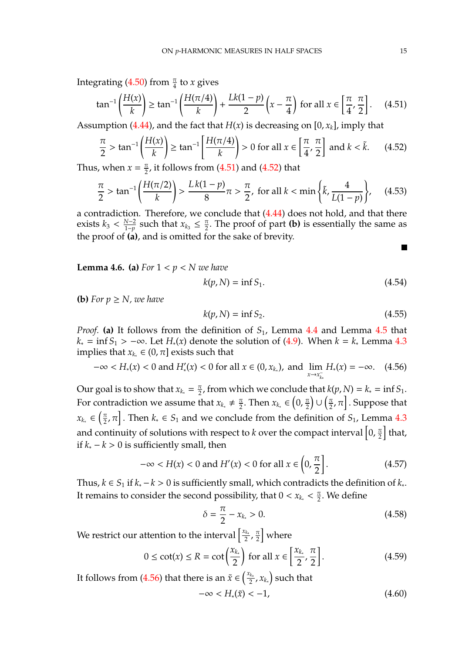Integrating  $(4.50)$  from  $\frac{\pi}{4}$  to *x* gives

<span id="page-14-1"></span>
$$
\tan^{-1}\left(\frac{H(x)}{k}\right) \ge \tan^{-1}\left(\frac{H(\pi/4)}{k}\right) + \frac{Lk(1-p)}{2}\left(x - \frac{\pi}{4}\right) \text{ for all } x \in \left[\frac{\pi}{4}, \frac{\pi}{2}\right].\tag{4.51}
$$

Assumption  $(4.44)$ , and the fact that  $H(x)$  is decreasing on  $[0, x_k]$ , imply that

<span id="page-14-2"></span>
$$
\frac{\pi}{2} > \tan^{-1}\left(\frac{H(x)}{k}\right) \ge \tan^{-1}\left[\frac{H(\pi/4)}{k}\right] > 0 \text{ for all } x \in \left[\frac{\pi}{4}, \frac{\pi}{2}\right] \text{ and } k < \tilde{k}.\tag{4.52}
$$

Thus, when  $x = \frac{\pi}{2}$  $\frac{\pi}{2}$ , it follows from [\(4.51\)](#page-14-1) and [\(4.52\)](#page-14-2) that

$$
\frac{\pi}{2} > \tan^{-1}\left(\frac{H(\pi/2)}{k}\right) > \frac{Lk(1-p)}{8}\pi > \frac{\pi}{2}, \text{ for all } k < \min\left\{\tilde{k}, \frac{4}{L(1-p)}\right\},\tag{4.53}
$$

a contradiction. Therefore, we conclude that [\(4.44\)](#page-13-1) does not hold, and that there exists  $k_3 < \frac{N-2}{1-n}$  $\frac{N-2}{1-p}$  such that  $x_{k_3}$  ≤  $\frac{\pi}{2}$  $\frac{\pi}{2}$ . The proof of part **(b)** is essentially the same as the proof of **(a)**, and is omitted for the sake of brevity.

<span id="page-14-0"></span>**Lemma 4.6.** (a) *For*  $1 < p < N$  *we have* 

$$
k(p, N) = \inf S_1. \tag{4.54}
$$

**(b)** For  $p \geq N$ , we have

$$
k(p, N) = \inf S_2. \tag{4.55}
$$

*Proof.* (a) It follows from the definition of  $S<sub>1</sub>$ , Lemma [4.4](#page-12-0) and Lemma [4.5](#page-13-0) that  $k<sub>∗</sub> = inf S<sub>1</sub> > −∞. Let H<sub>∗</sub>(*x*) denote the solution of (4.9). When *k* = *k<sub>∗</sub>* Lemma 4.3$  $k<sub>∗</sub> = inf S<sub>1</sub> > −∞. Let H<sub>∗</sub>(*x*) denote the solution of (4.9). When *k* = *k<sub>∗</sub>* Lemma 4.3$  $k<sub>∗</sub> = inf S<sub>1</sub> > −∞. Let H<sub>∗</sub>(*x*) denote the solution of (4.9). When *k* = *k<sub>∗</sub>* Lemma 4.3$  $k<sub>∗</sub> = inf S<sub>1</sub> > −∞. Let H<sub>∗</sub>(*x*) denote the solution of (4.9). When *k* = *k<sub>∗</sub>* Lemma 4.3$ implies that  $x_k \in (0, \pi]$  exists such that

<span id="page-14-3"></span>
$$
-\infty < H_*(x) < 0 \text{ and } H'_*(x) < 0 \text{ for all } x \in (0, x_{k_*}), \text{ and } \lim_{x \to x_{k_*}^-} H_*(x) = -\infty. \tag{4.56}
$$

Our goal is to show that  $x_{k_*} = \frac{\pi}{2}$  $\frac{\pi}{2}$ , from which we conclude that  $k(p, N) = k_* = \inf S_1$ . For contradiction we assume that  $x_{k_*} \neq \frac{\pi}{2}$  $\frac{\pi}{2}$ . Then  $x_{k_*} \in \left(0, \frac{\pi}{2}\right)$  $\frac{\pi}{2}$ ) U  $\left(\frac{\pi}{2}\right)$  $\left[\frac{\pi}{2},\pi\right]$ . Suppose that  $x_{k_*} \in \left(\frac{\pi}{2}\right)$  $\left[\frac{\pi}{2}, \pi\right]$ . Then  $k_* \in S_1$  and we conclude from the definition of  $S_1$ , Lemma [4.3](#page-10-0) and continuity of solutions with respect to *k* over the compact interval  $\left[0,\frac{\pi}{2}\right]$  $\frac{\pi}{2}$  that, if *k*<sup>∗</sup> − *k* > 0 is sufficiently small, then

$$
-\infty < H(x) < 0 \text{ and } H'(x) < 0 \text{ for all } x \in \left(0, \frac{\pi}{2}\right].\tag{4.57}
$$

Thus,  $k \in S_1$  if  $k_* - k > 0$  is sufficiently small, which contradicts the definition of  $k_*$ . It remains to consider the second possibility, that  $0 < x_{k_*} < \frac{\pi}{2}$  $\frac{\pi}{2}$ . We define

<span id="page-14-6"></span>
$$
\delta = \frac{\pi}{2} - x_{k_*} > 0. \tag{4.58}
$$

We restrict our attention to the interval  $\frac{x_{k*}}{2}$  $\frac{\pi}{2}$ ,  $\frac{\pi}{2}$  $\frac{\pi}{2}$  where

<span id="page-14-5"></span>
$$
0 \le \cot(x) \le R = \cot\left(\frac{x_{k_*}}{2}\right) \text{ for all } x \in \left[\frac{x_{k_*}}{2}, \frac{\pi}{2}\right].\tag{4.59}
$$

It follows from [\(4.56\)](#page-14-3) that there is an  $\tilde{x} \in \left(\frac{x_k}{2}\right)$  $\left(\frac{\hat{z}_{k_*}}{2}, x_{k_*}\right)$  such that

<span id="page-14-4"></span>
$$
-\infty < H_*(\tilde{x}) < -1,\tag{4.60}
$$

 $\blacksquare$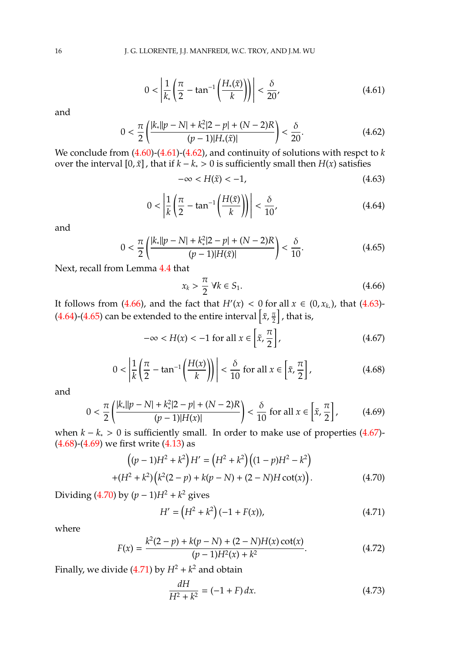<span id="page-15-0"></span>
$$
0 < \left| \frac{1}{k_*} \left( \frac{\pi}{2} - \tan^{-1} \left( \frac{H_*(\tilde{x})}{k} \right) \right) \right| < \frac{\delta}{20},\tag{4.61}
$$

and

<span id="page-15-1"></span>
$$
0 < \frac{\pi}{2} \left( \frac{|k_*||p - N| + k_*^2 |2 - p| + (N - 2)R}{(p - 1)|H_*(\tilde{x})|} \right) < \frac{\delta}{20}.\tag{4.62}
$$

We conclude from [\(4.60\)](#page-14-4)-[\(4.61\)](#page-15-0)-[\(4.62\)](#page-15-1), and continuity of solutions with respct to *k* over the interval [0,  $\tilde{x}$ ], that if  $k - k_* > 0$  is sufficiently small then  $H(x)$  satisfies

<span id="page-15-3"></span>
$$
-\infty < H(\tilde{x}) < -1,\tag{4.63}
$$

<span id="page-15-4"></span>
$$
0 < \left| \frac{1}{k} \left( \frac{\pi}{2} - \tan^{-1} \left( \frac{H(\tilde{x})}{k} \right) \right) \right| < \frac{\delta}{10},\tag{4.64}
$$

and

<span id="page-15-5"></span>
$$
0 < \frac{\pi}{2} \left( \frac{|k_*||p - N| + k_*^2 |2 - p| + (N - 2)R}{(p - 1)|H(\tilde{x})|} \right) < \frac{\delta}{10}.\tag{4.65}
$$

Next, recall from Lemma [4.4](#page-12-0) that

<span id="page-15-2"></span>
$$
x_k > \frac{\pi}{2} \ \forall k \in S_1. \tag{4.66}
$$

It follows from [\(4.66\)](#page-15-2), and the fact that  $H'(x) < 0$  for all  $x \in (0, x_{k_*})$ , that [\(4.63\)](#page-15-3) [\(4.64\)](#page-15-4)-[\(4.65\)](#page-15-5) can be extended to the entire interval  $\left[\tilde{x}, \frac{\pi}{2}\right]$  $\frac{\pi}{2}$  , that is,

<span id="page-15-6"></span>
$$
-\infty < H(x) < -1 \text{ for all } x \in \left[\tilde{x}, \frac{\pi}{2}\right],\tag{4.67}
$$

<span id="page-15-7"></span>
$$
0 < \left| \frac{1}{k} \left( \frac{\pi}{2} - \tan^{-1} \left( \frac{H(x)}{k} \right) \right) \right| < \frac{\delta}{10} \text{ for all } x \in \left[ \tilde{x}, \frac{\pi}{2} \right], \tag{4.68}
$$

and

<span id="page-15-8"></span>
$$
0 < \frac{\pi}{2} \left( \frac{|k_*||p - N| + k_*^2 |2 - p| + (N - 2)R}{(p - 1)|H(x)|} \right) < \frac{\delta}{10} \text{ for all } x \in \left[ \tilde{x}, \frac{\pi}{2} \right],\tag{4.69}
$$

when  $k - k_* > 0$  is sufficiently small. In order to make use of properties [\(4.67\)](#page-15-6)- $(4.68)$ - $(4.69)$  we first write  $(4.13)$  as

<span id="page-15-9"></span>
$$
((p-1)H2 + k2)H' = (H2 + k2)((1-p)H2 – k2)
$$
  
+(H<sup>2</sup> + k<sup>2</sup>) $(k2(2-p) + k(p-N) + (2-N)H \cot(x)).$  (4.70)

Dividing [\(4.70\)](#page-15-9) by  $(p − 1)H^2 + k^2$  gives

<span id="page-15-10"></span>
$$
H' = (H^2 + k^2)(-1 + F(x)),
$$
\n(4.71)

where

<span id="page-15-12"></span>
$$
F(x) = \frac{k^2(2-p) + k(p-N) + (2-N)H(x)\cot(x)}{(p-1)H^2(x) + k^2}.
$$
 (4.72)

Finally, we divide  $(4.71)$  by  $H^2 + k^2$  and obtain

<span id="page-15-11"></span>
$$
\frac{dH}{H^2 + k^2} = (-1 + F) dx.
$$
\n(4.73)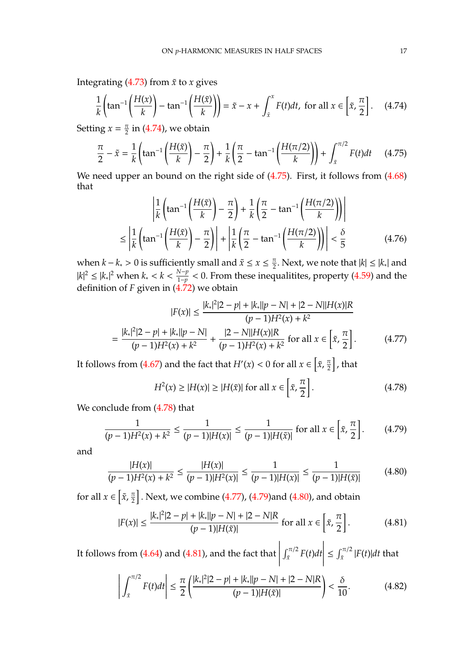Integrating  $(4.73)$  from  $\tilde{x}$  to *x* gives

<span id="page-16-0"></span>
$$
\frac{1}{k}\left(\tan^{-1}\left(\frac{H(x)}{k}\right) - \tan^{-1}\left(\frac{H(\tilde{x})}{k}\right)\right) = \tilde{x} - x + \int_{\tilde{x}}^{x} F(t)dt, \text{ for all } x \in \left[\tilde{x}, \frac{\pi}{2}\right].\tag{4.74}
$$

Setting  $x = \frac{\pi}{2}$  $\frac{\pi}{2}$  in [\(4.74\)](#page-16-0), we obtain

<span id="page-16-1"></span>
$$
\frac{\pi}{2} - \tilde{x} = \frac{1}{k} \left( \tan^{-1} \left( \frac{H(\tilde{x})}{k} \right) - \frac{\pi}{2} \right) + \frac{1}{k} \left( \frac{\pi}{2} - \tan^{-1} \left( \frac{H(\pi/2)}{k} \right) \right) + \int_{\tilde{x}}^{\pi/2} F(t) dt \tag{4.75}
$$

We need upper an bound on the right side of  $(4.75)$ . First, it follows from  $(4.68)$ that

<span id="page-16-7"></span>
$$
\left| \frac{1}{k} \left( \tan^{-1} \left( \frac{H(\tilde{x})}{k} \right) - \frac{\pi}{2} \right) + \frac{1}{k} \left( \frac{\pi}{2} - \tan^{-1} \left( \frac{H(\pi/2)}{k} \right) \right) \right|
$$
  

$$
\leq \left| \frac{1}{k} \left( \tan^{-1} \left( \frac{H(\tilde{x})}{k} \right) - \frac{\pi}{2} \right) \right| + \left| \frac{1}{k} \left( \frac{\pi}{2} - \tan^{-1} \left( \frac{H(\pi/2)}{k} \right) \right) \right| < \frac{\delta}{5}
$$
(4.76)

when  $k - k_* > 0$  is sufficiently small and  $\tilde{x} \le x \le \frac{\pi}{2}$ . Next, we note that  $|k| \le |k_*|$  and  $|k|^2 \le |k_*|^2$  when  $k_* < k < \frac{N-p}{1-p} < 0$ . From these ineq  $\frac{1-p}{1-p}$  < 0. From these inequalitites, property [\(4.59\)](#page-14-5) and the definition of *F* given in [\(4.72\)](#page-15-12) we obtain

<span id="page-16-3"></span>
$$
|F(x)| \le \frac{|k_*|^2 |2 - p| + |k_*||p - N| + |2 - N||H(x)|R}{(p - 1)H^2(x) + k^2}
$$

$$
= \frac{|k_*|^2 |2 - p| + |k_*||p - N|}{(p - 1)H^2(x) + k^2} + \frac{|2 - N||H(x)|R}{(p - 1)H^2(x) + k^2} \text{ for all } x \in \left[\tilde{x}, \frac{\pi}{2}\right]. \tag{4.77}
$$

It follows from [\(4.67\)](#page-15-6) and the fact that  $H'(x) < 0$  for all  $x \in \left[ \tilde{x}, \frac{\pi}{2} \right]$  $\frac{\pi}{2}$  , that

<span id="page-16-2"></span>
$$
H^{2}(x) \ge |H(x)| \ge |H(\tilde{x})| \text{ for all } x \in \left[\tilde{x}, \frac{\pi}{2}\right].
$$
 (4.78)

We conclude from [\(4.78\)](#page-16-2) that

<span id="page-16-4"></span>
$$
\frac{1}{(p-1)H^2(x) + k^2} \le \frac{1}{(p-1)|H(x)|} \le \frac{1}{(p-1)|H(\tilde{x})|} \text{ for all } x \in \left[\tilde{x}, \frac{\pi}{2}\right].\tag{4.79}
$$

and

<span id="page-16-5"></span>
$$
\frac{|H(x)|}{(p-1)H^2(x)+k^2} \le \frac{|H(x)|}{(p-1)|H^2(x)|} \le \frac{1}{(p-1)|H(x)|} \le \frac{1}{(p-1)|H(\tilde{x})|} \tag{4.80}
$$

for all  $x \in \left[ \tilde{x}, \frac{\pi}{2} \right]$  $\frac{\pi}{2} \bigr]$  . Next, we combine [\(4.77\)](#page-16-3), [\(4.79\)](#page-16-4)and [\(4.80\)](#page-16-5), and obtain

<span id="page-16-6"></span>
$$
|F(x)| \le \frac{|k_*|^2 |2 - p| + |k_*||p - N| + |2 - N|R}{(p - 1)|H(\tilde{x})|} \text{ for all } x \in \left[\tilde{x}, \frac{\pi}{2}\right]. \tag{4.81}
$$

It follows from [\(4.64\)](#page-15-4) and [\(4.81\)](#page-16-6), and the fact that  $\begin{array}{c} \hline \rule{0pt}{2.2ex} \\ \rule{0pt}{2.2ex} \end{array}$  $\int_{\tilde{x}}^{\pi/2} F(t) dt$  $\begin{array}{c} \hline \rule{0pt}{2.2ex} \\ \rule{0pt}{2.2ex} \end{array}$  $\leq \int_{\tilde{x}}^{\pi/2} |F(t)| dt$  that

<span id="page-16-8"></span>
$$
\left| \int_{\tilde{x}}^{\pi/2} F(t) dt \right| \leq \frac{\pi}{2} \left( \frac{|k_*|^2 |2 - p| + |k_*||p - N| + |2 - N|R}{(p - 1)|H(\tilde{x})|} \right) < \frac{\delta}{10}.
$$
 (4.82)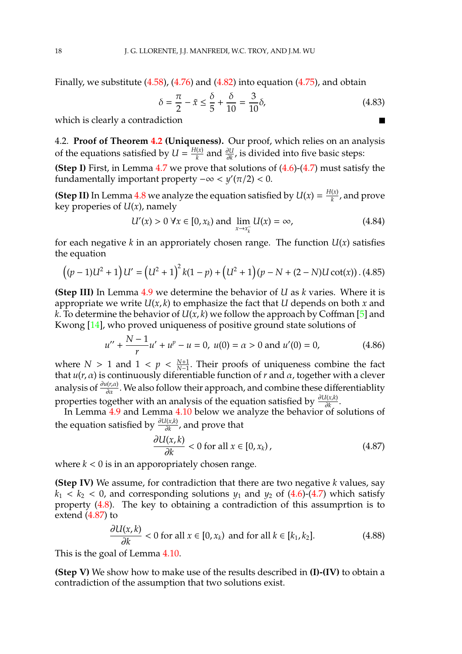Finally, we substitute [\(4.58\)](#page-14-6), [\(4.76\)](#page-16-7) and [\(4.82\)](#page-16-8) into equation [\(4.75\)](#page-16-1), and obtain

$$
\delta = \frac{\pi}{2} - \tilde{x} \le \frac{\delta}{5} + \frac{\delta}{10} = \frac{3}{10}\delta,
$$
\n(4.83)

 $\blacksquare$ 

which is clearly a contradiction

4.2. **Proof of Theorem [4.2](#page-9-4) (Uniqueness).** Our proof, which relies on an analysis of the equations satisfied by  $U = \frac{H(x)}{k}$ *k* and <sup>∂</sup>*<sup>U</sup>* ∂*k* , is divided into five basic steps:

**(Step I)** First, in Lemma [4.7](#page-18-0) we prove that solutions of  $(4.6)-(4.7)$  $(4.6)-(4.7)$  $(4.6)-(4.7)$  must satisfy the fundamentally important property  $-\infty < y'(\pi/2) < 0$ .

**(Step II)** In Lemma [4.8](#page-18-1) we analyze the equation satisfied by  $U(x) = \frac{H(x)}{k}$  $\frac{d(x)}{dx}$ , and prove key properies of *U*(*x*), namely

$$
U'(x) > 0 \,\forall x \in [0, x_k) \text{ and } \lim_{x \to x_k^-} U(x) = \infty,
$$
 (4.84)

for each negative  $k$  in an approriately chosen range. The function  $U(x)$  satisfies the equation

<span id="page-17-1"></span>
$$
((p-1)U2 + 1)U' = (U2 + 1)2k(1-p) + (U2 + 1)(p - N + (2 - N)Ucot(x))
$$
 (4.85)

**(Step III)** In Lemma [4.9](#page-19-0) we determine the behavior of *U* as *k* varies. Where it is appropriate we write *U*(*x*, *k*) to emphasize the fact that *U* depends on both *x* and *k*. To determine the behavior of  $U(x, k)$  we follow the approach by Coffman [\[5\]](#page-22-3) and Kwong [\[14\]](#page-23-9), who proved uniqueness of positive ground state solutions of

$$
u'' + \frac{N-1}{r}u' + u^p - u = 0, \ u(0) = \alpha > 0 \text{ and } u'(0) = 0,
$$
 (4.86)

where *N* > 1 and 1 <  $p$  <  $\frac{N+1}{N-1}$ . Their proofs of uniqueness combine the fact that  $u(r, \alpha)$  is continuously diferentiable function of  $r$  and  $\alpha$ , together with a clever analysis of  $\frac{\partial u(r,\alpha)}{\partial \alpha}$ . We also follow their approach, and combine these differentiablity properties together with an analysis of the equation satisfied by  $\frac{\partial U(x,k)}{\partial k}$ .

In Lemma [4.9](#page-19-0) and Lemma [4.10](#page-20-0) below we analyze the behavior of solutions of the equation satisfied by  $\frac{\partial U(x,k)}{\partial k}$ , and prove that

<span id="page-17-0"></span>
$$
\frac{\partial U(x,k)}{\partial k} < 0 \text{ for all } x \in [0, x_k), \tag{4.87}
$$

where  $k < 0$  is in an apporopriately chosen range.

**(Step IV)** We assume, for contradiction that there are two negative *k* values, say  $k_1 < k_2 < 0$ , and corresponding solutions  $y_1$  and  $y_2$  of  $(4.6)-(4.7)$  $(4.6)-(4.7)$  $(4.6)-(4.7)$  which satisfy property [\(4.8\)](#page-9-0). The key to obtaining a contradiction of this assumprtion is to extend [\(4.87\)](#page-17-0) to

$$
\frac{\partial U(x,k)}{\partial k} < 0 \text{ for all } x \in [0, x_k) \text{ and for all } k \in [k_1, k_2]. \tag{4.88}
$$

This is the goal of Lemma [4.10.](#page-20-0)

**(Step V)** We show how to make use of the results described in **(I)-(IV)** to obtain a contradiction of the assumption that two solutions exist.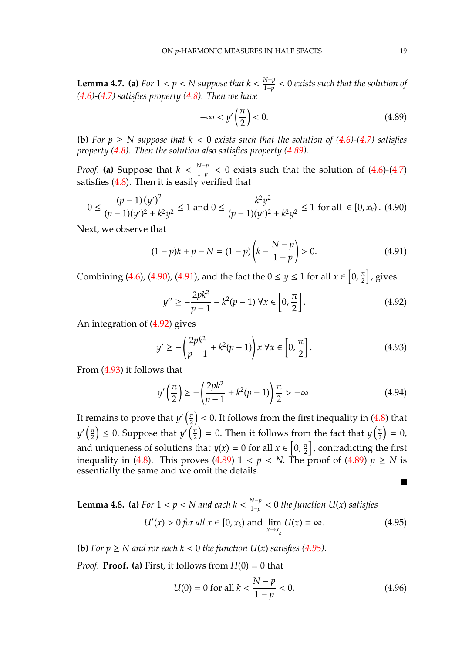<span id="page-18-0"></span>**Lemma 4.7. (a)** *For*  $1 < p < N$  *suppose that*  $k < \frac{N-p}{1-p}$ 1−*p* < 0 *exists such that the solution of [\(4.6\)](#page-8-2)-[\(4.7\)](#page-8-3) satisfies property [\(4.8\)](#page-9-0). Then we have*

<span id="page-18-2"></span>
$$
-\infty < y'\left(\frac{\pi}{2}\right) < 0. \tag{4.89}
$$

**(b)** For  $p \geq N$  suppose that  $k < 0$  exists such that the solution of [\(4.6\)](#page-8-2)-[\(4.7\)](#page-8-3) satisfies *property [\(4.8\)](#page-9-0). Then the solution also satisfies property [\(4.89\)](#page-18-2).*

*Proof.* (a) Suppose that  $k < \frac{N-p}{1-p}$  $\frac{1-p}{1-p}$  < 0 exists such that the solution of  $(4.6)-(4.7)$  $(4.6)-(4.7)$  $(4.6)-(4.7)$ satisfies [\(4.8\)](#page-9-0). Then it is easily verified that

<span id="page-18-3"></span>
$$
0 \le \frac{(p-1)(y')^2}{(p-1)(y')^2 + k^2 y^2} \le 1 \text{ and } 0 \le \frac{k^2 y^2}{(p-1)(y')^2 + k^2 y^2} \le 1 \text{ for all } \in [0, x_k). \tag{4.90}
$$

Next, we observe that

<span id="page-18-4"></span>
$$
(1 - p)k + p - N = (1 - p)\left(k - \frac{N - p}{1 - p}\right) > 0.
$$
\n(4.91)

Combining [\(4.6\)](#page-8-2), [\(4.90\)](#page-18-3), [\(4.91\)](#page-18-4), and the fact the  $0 \le y \le 1$  for all  $x \in \left[0, \frac{\pi}{2}\right]$  $\frac{\pi}{2}$  , gives

<span id="page-18-5"></span>
$$
y'' \ge -\frac{2pk^2}{p-1} - k^2(p-1) \,\forall x \in \left[0, \frac{\pi}{2}\right].\tag{4.92}
$$

An integration of [\(4.92\)](#page-18-5) gives

<span id="page-18-6"></span>
$$
y' \ge -\left(\frac{2pk^2}{p-1} + k^2(p-1)\right)x \,\forall x \in \left[0, \frac{\pi}{2}\right].\tag{4.93}
$$

From [\(4.93\)](#page-18-6) it follows that

$$
y'\left(\frac{\pi}{2}\right) \ge -\left(\frac{2pk^2}{p-1} + k^2(p-1)\right)\frac{\pi}{2} > -\infty.
$$
 (4.94)

It remains to prove that  $y'(\frac{\pi}{2})$  $\left(\frac{\pi}{2}\right)$  < 0. It follows from the first inequality in [\(4.8\)](#page-9-0) that  $y'(\frac{\pi}{2})$  $\left(\frac{\pi}{2}\right) \leq 0$ . Suppose that  $y' \left(\frac{\pi}{2}\right)$  $\left(\frac{\pi}{2}\right)$  = 0. Then it follows from the fact that  $y\left(\frac{\pi}{2}\right)$  $\frac{\pi}{2}$  = 0, and uniqueness of solutions that  $y(x) = 0$  for all  $x \in \left[0, \frac{\pi}{2}\right]$  $\left[\frac{\pi}{2}\right]$ , contradicting the first inequality in [\(4.8\)](#page-9-0). This proves [\(4.89\)](#page-18-2)  $1 < p < N$ . The proof of (4.89)  $p \ge N$  is essentially the same and we omit the details.

<span id="page-18-1"></span>**Lemma 4.8. (a)** For 
$$
1 < p < N
$$
 and each  $k < \frac{N-p}{1-p} < 0$  the function  $U(x)$  satisfies  

$$
U'(x) > 0 \text{ for all } x \in [0, x_k) \text{ and } \lim_{x \to x_k^-} U(x) = \infty.
$$
 (4.95)

**(b)** For  $p \geq N$  and ror each  $k < 0$  the function  $U(x)$  satisfies [\(4.95\)](#page-18-7).

*Proof.* **Proof.** (a) First, it follows from  $H(0) = 0$  that

<span id="page-18-8"></span><span id="page-18-7"></span>
$$
U(0) = 0 \text{ for all } k < \frac{N - p}{1 - p} < 0. \tag{4.96}
$$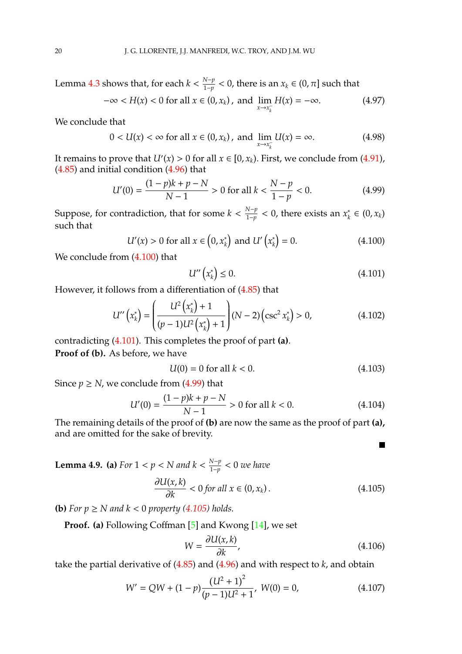Lemma [4.3](#page-10-0) shows that, for each  $k < \frac{N-p}{1-p}$  $\frac{N-p}{1-p}$  < 0, there is an  $x_k$  ∈ (0, π] such that  $-\infty < H(x) < 0$  for all  $x \in (0, x_k)$ , and  $\lim_{x \to 0} H(x) = -\infty$ . (4.97)

$$
\infty
$$
  $\sum_{i=1}^{n} \sum_{j=1}^{n} (x_j - x_k)$ , and  $\lim_{x \to x_k^-} \sum_{k=1}^{n} (x_k - x_k)$  (4.91)

We conclude that

$$
0 < U(x) < \infty \text{ for all } x \in (0, x_k), \text{ and } \lim_{x \to x_k^-} U(x) = \infty. \tag{4.98}
$$

It remains to prove that  $U'(x) > 0$  for all  $x \in [0, x_k)$ . First, we conclude from [\(4.91\)](#page-18-4), [\(4.85\)](#page-17-1) and initial condition [\(4.96\)](#page-18-8) that

<span id="page-19-3"></span>
$$
U'(0) = \frac{(1-p)k + p - N}{N - 1} > 0 \text{ for all } k < \frac{N - p}{1 - p} < 0. \tag{4.99}
$$

Suppose, for contradiction, that for some  $k < \frac{N-p}{1-p}$ 1−*p* < 0, there exists an *x* ∗  $\kappa$ <sup>\*</sup> ∈ (0,  $x_k$ ) such that

<span id="page-19-1"></span>
$$
U'(x) > 0 \text{ for all } x \in (0, x_k^*) \text{ and } U'\left(x_k^*\right) = 0. \tag{4.100}
$$

We conclude from  $(4.100)$  that

<span id="page-19-2"></span>
$$
U''\left(x_k^*\right) \le 0. \tag{4.101}
$$

However, it follows from a differentiation of [\(4.85\)](#page-17-1) that

$$
U''\left(x_k^*\right) = \left(\frac{U^2\left(x_k^*\right) + 1}{(p-1)U^2\left(x_k^*\right) + 1}\right)(N-2)\left(\csc^2 x_k^*\right) > 0,\tag{4.102}
$$

contradicting [\(4.101\)](#page-19-2). This completes the proof of part **(a)**.

**Proof of (b).** As before, we have

$$
U(0) = 0 \text{ for all } k < 0. \tag{4.103}
$$

Since  $p \ge N$ , we conclude from [\(4.99\)](#page-19-3) that

$$
U'(0) = \frac{(1-p)k + p - N}{N - 1} > 0 \text{ for all } k < 0.
$$
 (4.104)

The remaining details of the proof of **(b)** are now the same as the proof of part **(a),** and are omitted for the sake of brevity.

<span id="page-19-0"></span>**Lemma 4.9.** (a) *For*  $1 < p < N$  *and*  $k < \frac{N-p}{1-p}$ 1−*p* < 0 *we have*

<span id="page-19-4"></span>
$$
\frac{\partial U(x,k)}{\partial k} < 0 \text{ for all } x \in (0, x_k). \tag{4.105}
$$

**(b)** For  $p \geq N$  and  $k < 0$  property [\(4.105\)](#page-19-4) holds.

**Proof. (a)** Following Coffman [\[5\]](#page-22-3) and Kwong [\[14\]](#page-23-9), we set

$$
W = \frac{\partial U(x,k)}{\partial k},\tag{4.106}
$$

 $\overline{\phantom{a}}$ 

take the partial derivative of [\(4.85\)](#page-17-1) and [\(4.96\)](#page-18-8) and with respect to *k*, and obtain

<span id="page-19-5"></span>
$$
W' = QW + (1 - p)\frac{(U^2 + 1)^2}{(p - 1)U^2 + 1}, \ W(0) = 0,
$$
\n(4.107)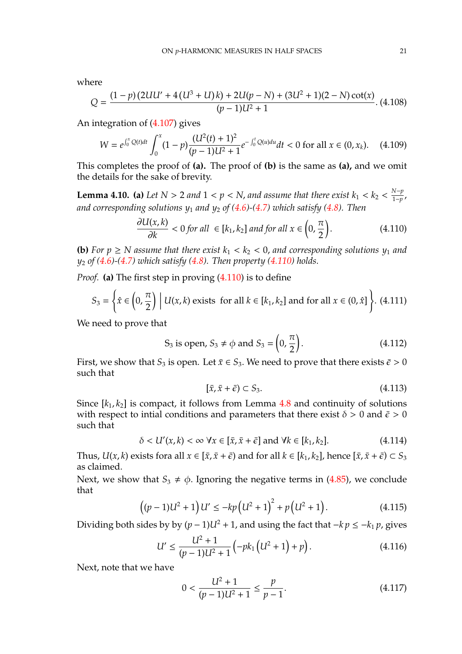where

$$
Q = \frac{(1-p)(2UU'+4(U^3+U)k) + 2U(p-N) + (3U^2+1)(2-N)\cot(x)}{(p-1)U^2+1}.
$$
 (4.108)

An integration of [\(4.107\)](#page-19-5) gives

$$
W = e^{\int_0^x Q(t)dt} \int_0^x (1-p) \frac{(U^2(t)+1)^2}{(p-1)U^2+1} e^{-\int_0^t Q(u)du} dt < 0 \text{ for all } x \in (0, x_k). \tag{4.109}
$$

This completes the proof of **(a).** The proof of **(b)** is the same as **(a),** and we omit the details for the sake of brevity.

<span id="page-20-0"></span>**Lemma 4.10.** (a) Let  $N > 2$  and  $1 < p < N$ , and assume that there exist  $k_1 < k_2 < \frac{N-p}{1-p}$  $\frac{p}{1-p}$ , *and corresponding solutions y*<sup>1</sup> *and y*<sup>2</sup> *of [\(4.6\)](#page-8-2)-[\(4.7\)](#page-8-3) which satisfy [\(4.8\)](#page-9-0). Then*

<span id="page-20-1"></span>
$$
\frac{\partial U(x,k)}{\partial k} < 0 \text{ for all } \in [k_1, k_2] \text{ and for all } x \in \left(0, \frac{\pi}{2}\right). \tag{4.110}
$$

**(b)** For  $p \geq N$  assume that there exist  $k_1 < k_2 < 0$ , and corresponding solutions  $y_1$  and *y*<sup>2</sup> *of [\(4.6\)](#page-8-2)-[\(4.7\)](#page-8-3) which satisfy [\(4.8\)](#page-9-0). Then property [\(4.110\)](#page-20-1) holds.*

*Proof.* **(a)** The first step in proving [\(4.110\)](#page-20-1) is to define

$$
S_3 = \left\{ \hat{x} \in \left(0, \frac{\pi}{2}\right) \middle| U(x, k) \text{ exists for all } k \in [k_1, k_2] \text{ and for all } x \in (0, \hat{x}] \right\}. \tag{4.111}
$$

We need to prove that

$$
S_3
$$
 is open,  $S_3 \neq \phi$  and  $S_3 = \left(0, \frac{\pi}{2}\right)$ . (4.112)

First, we show that  $S_3$  is open. Let  $\bar{x} \in S_3$ . We need to prove that there exists  $\bar{\epsilon} > 0$ such that

$$
[\bar{x}, \bar{x} + \bar{\epsilon}) \subset S_3. \tag{4.113}
$$

Since  $[k_1, k_2]$  is compact, it follows from Lemma  $4.8$  and continuity of solutions with respect to intial conditions and parameters that there exist  $\delta > 0$  and  $\bar{\epsilon} > 0$ such that

$$
\delta < U'(x,k) < \infty \,\forall x \in [\bar{x}, \bar{x} + \bar{\epsilon}] \text{ and } \forall k \in [k_1, k_2].\tag{4.114}
$$

Thus,  $U(x, k)$  exists fora all  $x \in [\bar{x}, \bar{x} + \bar{\epsilon})$  and for all  $k \in [k_1, k_2]$ , hence  $[\bar{x}, \bar{x} + \bar{\epsilon}) \subset S_3$ as claimed.

Next, we show that  $S_3 \neq \phi$ . Ignoring the negative terms in [\(4.85\)](#page-17-1), we conclude that

$$
((p-1)U2 + 1)U' \le -kp(U2 + 1)2 + p(U2 + 1).
$$
 (4.115)

Dividing both sides by by  $(p - 1)U^2 + 1$ , and using the fact that  $-kp ≤ -k_1 p$ , gives

<span id="page-20-2"></span>
$$
U' \le \frac{U^2 + 1}{(p - 1)U^2 + 1} \left( -pk_1 \left( U^2 + 1 \right) + p \right). \tag{4.116}
$$

Next, note that we have

<span id="page-20-3"></span>
$$
0 < \frac{U^2 + 1}{(p - 1)U^2 + 1} \le \frac{p}{p - 1}.\tag{4.117}
$$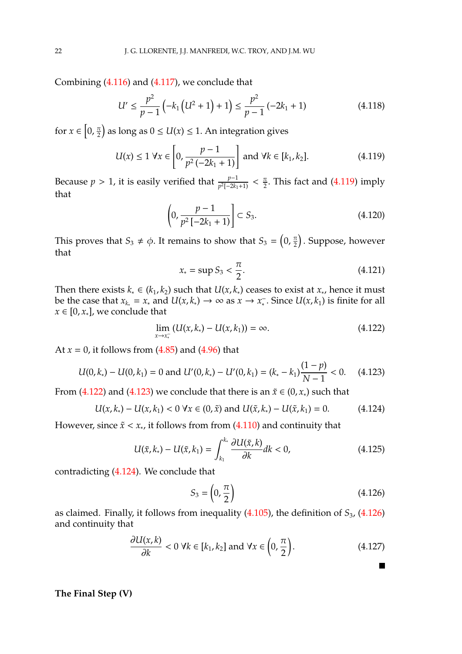Combining [\(4.116\)](#page-20-2) and [\(4.117\)](#page-20-3), we conclude that

$$
U' \leq \frac{p^2}{p-1} \left( -k_1 \left( U^2 + 1 \right) + 1 \right) \leq \frac{p^2}{p-1} \left( -2k_1 + 1 \right) \tag{4.118}
$$

for  $x \in \left[0, \frac{\pi}{2}\right]$  $\left(\frac{\pi}{2}\right)$  as long as  $0 \le U(x) \le 1$ . An integration gives

<span id="page-21-0"></span>
$$
U(x) \le 1 \,\forall x \in \left[0, \frac{p-1}{p^2(-2k_1+1)}\right] \text{ and } \forall k \in [k_1, k_2]. \tag{4.119}
$$

Because *p* > 1, it is easily verified that  $\frac{p-1}{p^2[-2k_1+1)} < \frac{\pi}{2}$  $\frac{\pi}{2}$ . This fact and [\(4.119\)](#page-21-0) imply that

$$
\left(0, \frac{p-1}{p^2 \left[-2k_1 + 1\right)}\right] \subset S_3. \tag{4.120}
$$

This proves that  $S_3 \neq \phi$ . It remains to show that  $S_3 = \left(0, \frac{\pi}{2}\right)$  $\left(\frac{\pi}{2}\right)$ . Suppose, however that

$$
x_* = \sup S_3 < \frac{\pi}{2}.\tag{4.121}
$$

Then there exists  $k_* \in (k_1, k_2)$  such that  $U(x, k_*)$  ceases to exist at  $x_*,$  hence it must be the case that  $x_{k_*} = x_*$  and  $U(x, k_*) \to \infty$  as  $x \to x_*^-$ . Since  $U(x, k_1)$  is finite for all  $x \in [0, x_*]$ , we conclude that

<span id="page-21-1"></span>
$$
\lim_{x \to x_*^-} (U(x, k_*) - U(x, k_1)) = \infty.
$$
\n(4.122)

At  $x = 0$ , it follows from  $(4.85)$  and  $(4.96)$  that

<span id="page-21-2"></span>
$$
U(0,k_*) - U(0,k_1) = 0 \text{ and } U'(0,k_*) - U'(0,k_1) = (k_* - k_1) \frac{(1-p)}{N-1} < 0. \tag{4.123}
$$

From [\(4.122\)](#page-21-1) and [\(4.123\)](#page-21-2) we conclude that there is an  $\tilde{x} \in (0, x_*)$  such that

<span id="page-21-3"></span>
$$
U(x, k_*) - U(x, k_1) < 0 \,\forall x \in (0, \tilde{x}) \text{ and } U(\tilde{x}, k_*) - U(\tilde{x}, k_1) = 0. \tag{4.124}
$$

However, since  $\tilde{x} < x_*,$  it follows from from [\(4.110\)](#page-20-1) and continuity that

$$
U(\tilde{x}, k_*) - U(\tilde{x}, k_1) = \int_{k_1}^{k_*} \frac{\partial U(\tilde{x}, k)}{\partial k} dk < 0,\tag{4.125}
$$

contradicting [\(4.124\)](#page-21-3). We conclude that

<span id="page-21-4"></span>
$$
S_3 = \left(0, \frac{\pi}{2}\right) \tag{4.126}
$$

 $\blacksquare$ 

as claimed. Finally, it follows from inequality [\(4.105\)](#page-19-4), the definition of *S*3, [\(4.126\)](#page-21-4) and continuity that

$$
\frac{\partial U(x,k)}{\partial k} < 0 \ \forall k \in [k_1, k_2] \text{ and } \forall x \in \left(0, \frac{\pi}{2}\right). \tag{4.127}
$$

## **The Final Step (V)**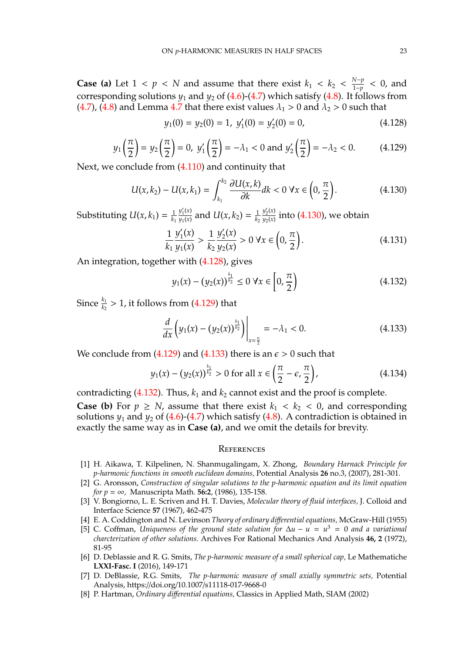**Case (a)** Let  $1 < p < N$  and assume that there exist  $k_1 < k_2 < \frac{N-p}{1-p}$  $\frac{N-p}{1-p}$  < 0, and corresponding solutions  $y_1$  and  $y_2$  of [\(4.6\)](#page-8-2)-[\(4.7\)](#page-8-3) which satisfy [\(4.8\)](#page-9-0). It follows from [\(4.7\)](#page-8-3), [\(4.8\)](#page-9-0) and Lemma [4.7](#page-18-0) that there exist values  $\lambda_1 > 0$  and  $\lambda_2 > 0$  such that

<span id="page-22-8"></span>
$$
y_1(0) = y_2(0) = 1, \ y'_1(0) = y'_2(0) = 0,
$$
\n(4.128)

<span id="page-22-9"></span>
$$
y_1\left(\frac{\pi}{2}\right) = y_2\left(\frac{\pi}{2}\right) = 0
$$
,  $y'_1\left(\frac{\pi}{2}\right) = -\lambda_1 < 0$  and  $y'_2\left(\frac{\pi}{2}\right) = -\lambda_2 < 0$ . (4.129)

Next, we conclude from [\(4.110\)](#page-20-1) and continuity that

<span id="page-22-7"></span>
$$
U(x,k_2) - U(x,k_1) = \int_{k_1}^{k_2} \frac{\partial U(x,k)}{\partial k} dk < 0 \,\forall x \in \left(0, \frac{\pi}{2}\right). \tag{4.130}
$$

Substituting  $U(x, k_1) = \frac{1}{k_1}$ *k*1  $y_1'(x)$  $y_1(x)$  and  $U(x, k_2) = \frac{1}{k_2}$ *k*2  $y_2'(x)$  $\frac{y_2(x)}{y_2(x)}$  into [\(4.130\)](#page-22-7), we obtain

$$
\frac{1}{k_1} \frac{y_1'(x)}{y_1(x)} > \frac{1}{k_2} \frac{y_2'(x)}{y_2(x)} > 0 \,\forall x \in \left(0, \frac{\pi}{2}\right). \tag{4.131}
$$

An integration, together with [\(4.128\)](#page-22-8), gives

<span id="page-22-11"></span>
$$
y_1(x) - (y_2(x))^{\frac{k_1}{k_2}} \le 0 \,\forall x \in \left[0, \frac{\pi}{2}\right) \tag{4.132}
$$

Since  $\frac{k_1}{k_2} > 1$ , it follows from [\(4.129\)](#page-22-9) that

<span id="page-22-10"></span>
$$
\frac{d}{dx}\left(y_1(x) - (y_2(x))^\frac{k_1}{k_2}\right)\bigg|_{x=\frac{\pi}{2}} = -\lambda_1 < 0. \tag{4.133}
$$

We conclude from [\(4.129\)](#page-22-9) and [\(4.133\)](#page-22-10) there is an  $\epsilon > 0$  such that

$$
y_1(x) - (y_2(x))^{\frac{k_1}{k_2}} > 0
$$
 for all  $x \in \left(\frac{\pi}{2} - \epsilon, \frac{\pi}{2}\right)$ , (4.134)

contradicting  $(4.132)$ . Thus,  $k_1$  and  $k_2$  cannot exist and the proof is complete.

**Case (b)** For  $p \geq N$ , assume that there exist  $k_1 < k_2 < 0$ , and corresponding solutions  $y_1$  and  $y_2$  of [\(4.6\)](#page-8-2)-[\(4.7\)](#page-8-3) which satisfy [\(4.8\)](#page-9-0). A contradiction is obtained in exactly the same way as in **Case (a)**, and we omit the details for brevity.

### **REFERENCES**

- <span id="page-22-4"></span>[1] H. Aikawa, T. Kilpelinen, N. Shanmugalingam, X. Zhong, *Boundary Harnack Principle for p-harmonic functions in smooth euclidean domains,* Potential Analysis **26** no.3, (2007), 281-301.
- <span id="page-22-0"></span>[2] G. Aronsson, *Construction of singular solutions to the p-harmonic equation and its limit equation for p* = ∞*,* Manuscripta Math. **56:2**, (1986), 135-158.
- [3] V. Bongiorno, L. E. Scriven and H. T. Davies, *Molecular theory of fluid interfaces,* J. Colloid and Interface Science **57** (1967), 462-475
- <span id="page-22-5"></span>[4] E. A. Coddington and N. Levinson *Theory of ordinary di*ff*erential equations,* McGraw-Hill (1955)
- <span id="page-22-3"></span>[5] C. Coffman, *Uniqueness of the ground state solution for* ∆*u* − *u* = *u* <sup>3</sup> = 0 *and a variational charcterization of other solutions.* Archives For Rational Mechanics And Analysis **46, 2** (1972), 81-95
- <span id="page-22-1"></span>[6] D. Deblassie and R. G. Smits, *The p-harmonic measure of a small spherical cap,* Le Mathematiche **LXXI-Fasc. I** (2016), 149-171
- <span id="page-22-2"></span>[7] D. DeBlassie, R.G. Smits, *The p-harmonic measure of small axially symmetric sets,* Potential Analysis, https://doi.org/10.1007/s11118-017-9668-0
- <span id="page-22-6"></span>[8] P. Hartman, *Ordinary di*ff*erential equations,* Classics in Applied Math, SIAM (2002)